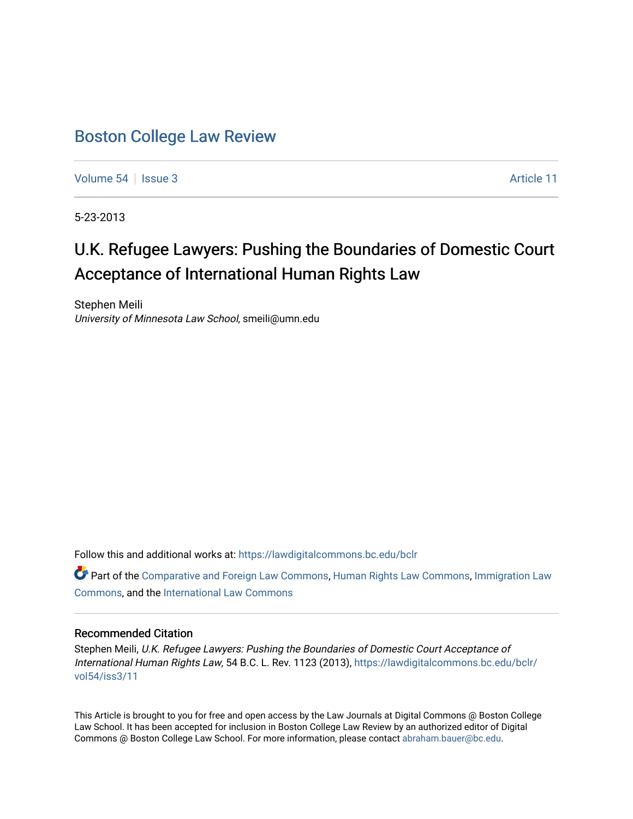# [Boston College Law Review](https://lawdigitalcommons.bc.edu/bclr)

[Volume 54](https://lawdigitalcommons.bc.edu/bclr/vol54) | [Issue 3](https://lawdigitalcommons.bc.edu/bclr/vol54/iss3) Article 11

5-23-2013

# U.K. Refugee Lawyers: Pushing the Boundaries of Domestic Court Acceptance of International Human Rights Law

Stephen Meili University of Minnesota Law School, smeili@umn.edu

Follow this and additional works at: [https://lawdigitalcommons.bc.edu/bclr](https://lawdigitalcommons.bc.edu/bclr?utm_source=lawdigitalcommons.bc.edu%2Fbclr%2Fvol54%2Fiss3%2F11&utm_medium=PDF&utm_campaign=PDFCoverPages) 

Part of the [Comparative and Foreign Law Commons,](http://network.bepress.com/hgg/discipline/836?utm_source=lawdigitalcommons.bc.edu%2Fbclr%2Fvol54%2Fiss3%2F11&utm_medium=PDF&utm_campaign=PDFCoverPages) [Human Rights Law Commons,](http://network.bepress.com/hgg/discipline/847?utm_source=lawdigitalcommons.bc.edu%2Fbclr%2Fvol54%2Fiss3%2F11&utm_medium=PDF&utm_campaign=PDFCoverPages) [Immigration Law](http://network.bepress.com/hgg/discipline/604?utm_source=lawdigitalcommons.bc.edu%2Fbclr%2Fvol54%2Fiss3%2F11&utm_medium=PDF&utm_campaign=PDFCoverPages)  [Commons](http://network.bepress.com/hgg/discipline/604?utm_source=lawdigitalcommons.bc.edu%2Fbclr%2Fvol54%2Fiss3%2F11&utm_medium=PDF&utm_campaign=PDFCoverPages), and the [International Law Commons](http://network.bepress.com/hgg/discipline/609?utm_source=lawdigitalcommons.bc.edu%2Fbclr%2Fvol54%2Fiss3%2F11&utm_medium=PDF&utm_campaign=PDFCoverPages) 

# Recommended Citation

Stephen Meili, U.K. Refugee Lawyers: Pushing the Boundaries of Domestic Court Acceptance of International Human Rights Law, 54 B.C. L. Rev. 1123 (2013), [https://lawdigitalcommons.bc.edu/bclr/](https://lawdigitalcommons.bc.edu/bclr/vol54/iss3/11?utm_source=lawdigitalcommons.bc.edu%2Fbclr%2Fvol54%2Fiss3%2F11&utm_medium=PDF&utm_campaign=PDFCoverPages) [vol54/iss3/11](https://lawdigitalcommons.bc.edu/bclr/vol54/iss3/11?utm_source=lawdigitalcommons.bc.edu%2Fbclr%2Fvol54%2Fiss3%2F11&utm_medium=PDF&utm_campaign=PDFCoverPages) 

This Article is brought to you for free and open access by the Law Journals at Digital Commons @ Boston College Law School. It has been accepted for inclusion in Boston College Law Review by an authorized editor of Digital Commons @ Boston College Law School. For more information, please contact [abraham.bauer@bc.edu.](mailto:abraham.bauer@bc.edu)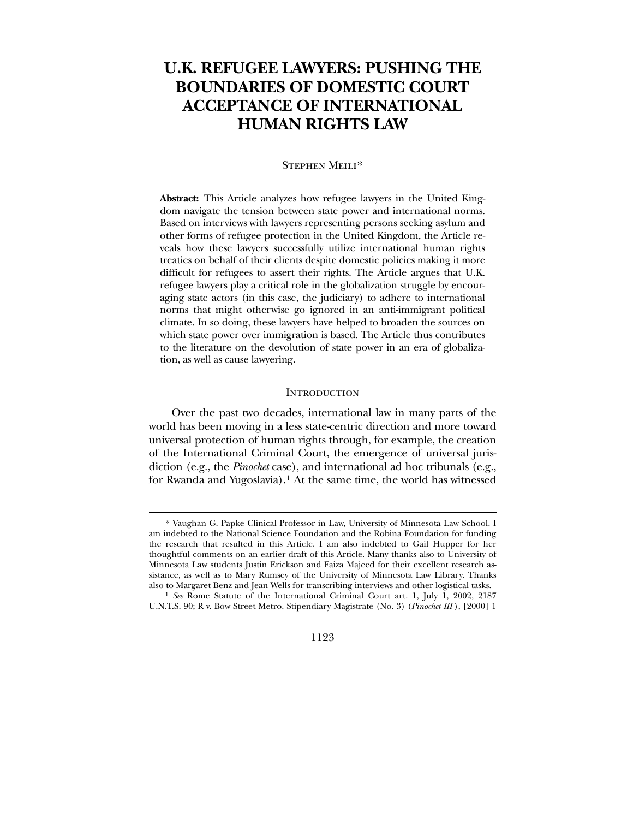# **U.K. REFUGEE LAWYERS: PUSHING THE BOUNDARIES OF DOMESTIC COURT ACCEPTANCE OF INTERNATIONAL HUMAN RIGHTS LAW**

## Stephen Meili[\\*](#page-1-0)

**Abstract:** This Article analyzes how refugee lawyers in the United Kingdom navigate the tension between state power and international norms. Based on interviews with lawyers representing persons seeking asylum and other forms of refugee protection in the United Kingdom, the Article reveals how these lawyers successfully utilize international human rights treaties on behalf of their clients despite domestic policies making it more difficult for refugees to assert their rights. The Article argues that U.K. refugee lawyers play a critical role in the globalization struggle by encouraging state actors (in this case, the judiciary) to adhere to international norms that might otherwise go ignored in an anti-immigrant political climate. In so doing, these lawyers have helped to broaden the sources on which state power over immigration is based. The Article thus contributes to the literature on the devolution of state power in an era of globalization, as well as cause lawyering.

#### **INTRODUCTION**

 Over the past two decades, international law in many parts of the world has been moving in a less state-centric direction and more toward universal protection of human rights through, for example, the creation of the International Criminal Court, the emergence of universal jurisdiction (e.g., the *Pinochet* case), and international ad hoc tribunals (e.g., for Rwanda and Yugoslavia).[1](#page-1-1) At the same time, the world has witnessed

 $\overline{a}$ 

#### 1123

<sup>\*</sup> Vaughan G. Papke Clinical Professor in Law, University of Minnesota Law School. I am indebted to the National Science Foundation and the Robina Foundation for funding the research that resulted in this Article. I am also indebted to Gail Hupper for her thoughtful comments on an earlier draft of this Article. Many thanks also to University of Minnesota Law students Justin Erickson and Faiza Majeed for their excellent research assistance, as well as to Mary Rumsey of the University of Minnesota Law Library. Thanks also to Margaret Benz and Jean Wells for transcribing interviews and other logistical tasks.

<span id="page-1-1"></span><span id="page-1-0"></span><sup>&</sup>lt;sup>1</sup> *See* Rome Statute of the International Criminal Court art. 1, July 1, 2002, 2187 U.N.T.S. 90; R v. Bow Street Metro. Stipendiary Magistrate (No. 3) (*Pinochet III* ), [2000] 1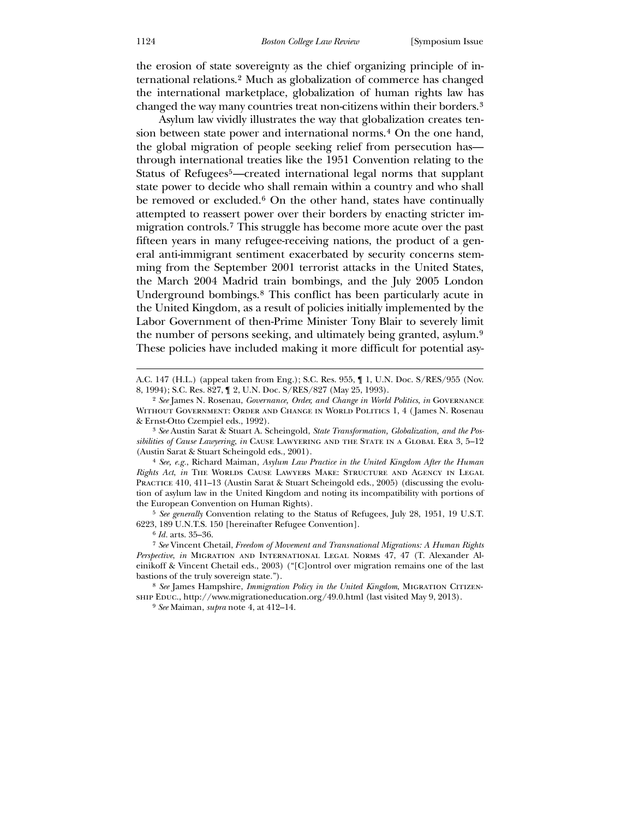the erosion of state sovereignty as the chief organizing principle of international relations.[2](#page-2-0) Much as globalization of commerce has changed the international marketplace, globalization of human rights law has changed the way many countries treat non-citizens within their borders.[3](#page-2-1)

 Asylum law vividly illustrates the way that globalization creates ten-sion between state power and international norms.<sup>[4](#page-2-2)</sup> On the one hand, the global migration of people seeking relief from persecution has through international treaties like the 1951 Convention relating to the Status of Refugees[5](#page-2-3)—created international legal norms that supplant state power to decide who shall remain within a country and who shall be removed or excluded.<sup>[6](#page-2-4)</sup> On the other hand, states have continually attempted to reassert power over their borders by enacting stricter immigration controls.[7](#page-2-5) This struggle has become more acute over the past fifteen years in many refugee-receiving nations, the product of a general anti-immigrant sentiment exacerbated by security concerns stemming from the September 2001 terrorist attacks in the United States, the March 2004 Madrid train bombings, and the July 2005 London Underground bombings.[8](#page-2-6) This conflict has been particularly acute in the United Kingdom, as a result of policies initially implemented by the Labor Government of then-Prime Minister Tony Blair to severely limit the number of persons seeking, and ultimately being granted, asylum.[9](#page-2-7) These policies have included making it more difficult for potential asy-

3 *See* Austin Sarat & Stuart A. Scheingold, *State Transformation, Globalization, and the Possibilities of Cause Lawyering*, *in* Cause Lawyering and the State in a Global Era 3, 5–12 (Austin Sarat & Stuart Scheingold eds., 2001).

4 *See, e.g.*, Richard Maiman, *Asylum Law Practice in the United Kingdom After the Human Rights Act*, *in* The Worlds Cause Lawyers Make: Structure and Agency in Legal PRACTICE 410, 411–13 (Austin Sarat & Stuart Scheingold eds., 2005) (discussing the evolution of asylum law in the United Kingdom and noting its incompatibility with portions of the European Convention on Human Rights).

5 *See generally* Convention relating to the Status of Refugees, July 28, 1951, 19 U.S.T. 6223, 189 U.N.T.S. 150 [hereinafter Refugee Convention].

6 *Id.* arts. 35–36.

<span id="page-2-0"></span>7 *See* Vincent Chetail, *Freedom of Movement and Transnational Migrations: A Human Rights Perspective*, *in* Migration and International Legal Norms 47, 47 (T. Alexander Aleinikoff & Vincent Chetail eds., 2003) ("[C]ontrol over migration remains one of the last bastions of the truly sovereign state.").

<span id="page-2-5"></span><span id="page-2-4"></span><span id="page-2-3"></span><span id="page-2-2"></span><span id="page-2-1"></span><sup>8</sup> See James Hampshire, *Immigration Policy in the United Kingdom*, MIGRATION CITIZENship Educ., http://www.migrationeducation.org/49.0.html (last visited May 9, 2013).

<span id="page-2-7"></span><span id="page-2-6"></span>9 *See* Maiman, *supra* note 4, at 412–14.

A.C. 147 (H.L.) (appeal taken from Eng.); S.C. Res. 955, ¶ 1, U.N. Doc. S/RES/955 (Nov. 8, 1994); S.C. Res. 827, ¶ 2, U.N. Doc. S/RES/827 (May 25, 1993).

<sup>2</sup> *See* James N. Rosenau, *Governance, Order, and Change in World Politics*, *in* Governance Without Government: Order and Change in World Politics 1, 4 ( James N. Rosenau & Ernst-Otto Czempiel eds., 1992).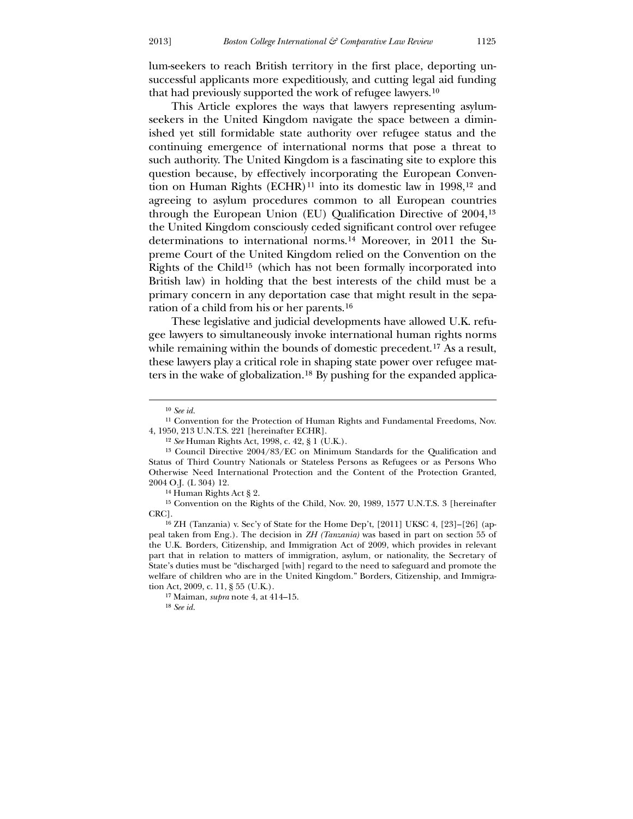lum-seekers to reach British territory in the first place, deporting unsuccessful applicants more expeditiously, and cutting legal aid funding that had previously supported the work of refugee lawyers.[10](#page-3-0)

 This Article explores the ways that lawyers representing asylumseekers in the United Kingdom navigate the space between a diminished yet still formidable state authority over refugee status and the continuing emergence of international norms that pose a threat to such authority. The United Kingdom is a fascinating site to explore this question because, by effectively incorporating the European Conven-tion on Human Rights (ECHR)<sup>[11](#page-3-1)</sup> into its domestic law in 1998,<sup>[12](#page-3-2)</sup> and agreeing to asylum procedures common to all European countries through the European Union (EU) Qualification Directive of 2004,[13](#page-3-3) the United Kingdom consciously ceded significant control over refugee determinations to international norms.[14](#page-3-4) Moreover, in 2011 the Supreme Court of the United Kingdom relied on the Convention on the Rights of the Child[15](#page-3-5) (which has not been formally incorporated into British law) in holding that the best interests of the child must be a primary concern in any deportation case that might result in the separation of a child from his or her parents.[16](#page-3-6)

 These legislative and judicial developments have allowed U.K. refugee lawyers to simultaneously invoke international human rights norms while remaining within the bounds of domestic precedent.<sup>[17](#page-3-7)</sup> As a result, these lawyers play a critical role in shaping state power over refugee matters in the wake of globalization.[18](#page-3-8) By pushing for the expanded applica-

<u>.</u>

14 Human Rights Act § 2.

15 Convention on the Rights of the Child, Nov. 20, 1989, 1577 U.N.T.S. 3 [hereinafter CRC].

<span id="page-3-2"></span><span id="page-3-1"></span><span id="page-3-0"></span>16 ZH (Tanzania) v. Sec'y of State for the Home Dep't, [2011] UKSC 4, [23]–[26] (appeal taken from Eng.). The decision in *ZH (Tanzania)* was based in part on section 55 of the U.K. Borders, Citizenship, and Immigration Act of 2009, which provides in relevant part that in relation to matters of immigration, asylum, or nationality, the Secretary of State's duties must be "discharged [with] regard to the need to safeguard and promote the welfare of children who are in the United Kingdom." Borders, Citizenship, and Immigration Act, 2009, c. 11, § 55 (U.K.).

<span id="page-3-3"></span>17 Maiman, *supra* note 4, at 414–15.

<span id="page-3-8"></span><span id="page-3-7"></span><span id="page-3-6"></span><span id="page-3-5"></span><span id="page-3-4"></span>18 *See id.*

<sup>10</sup> *See id.*

<sup>11</sup> Convention for the Protection of Human Rights and Fundamental Freedoms, Nov. 4, 1950, 213 U.N.T.S. 221 [hereinafter ECHR].

<sup>12</sup> *See* Human Rights Act, 1998, c. 42, § 1 (U.K.).

<sup>13</sup> Council Directive 2004/83/EC on Minimum Standards for the Qualification and Status of Third Country Nationals or Stateless Persons as Refugees or as Persons Who Otherwise Need International Protection and the Content of the Protection Granted, 2004 O.J. (L 304) 12.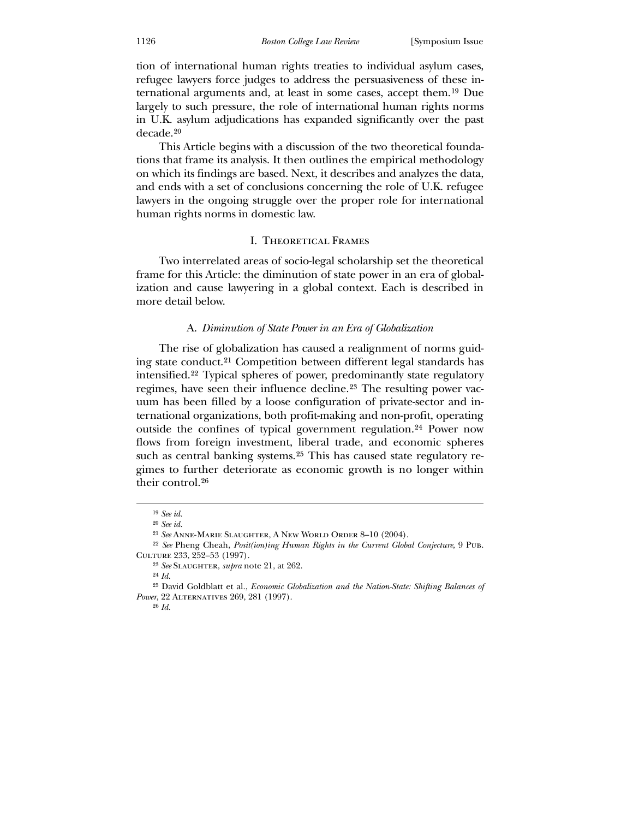tion of international human rights treaties to individual asylum cases, refugee lawyers force judges to address the persuasiveness of these international arguments and, at least in some cases, accept them.[19](#page-4-0) Due largely to such pressure, the role of international human rights norms in U.K. asylum adjudications has expanded significantly over the past decade.[20](#page-4-1)

 This Article begins with a discussion of the two theoretical foundations that frame its analysis. It then outlines the empirical methodology on which its findings are based. Next, it describes and analyzes the data, and ends with a set of conclusions concerning the role of U.K. refugee lawyers in the ongoing struggle over the proper role for international human rights norms in domestic law.

#### I. Theoretical Frames

 Two interrelated areas of socio-legal scholarship set the theoretical frame for this Article: the diminution of state power in an era of globalization and cause lawyering in a global context. Each is described in more detail below.

#### A. *Diminution of State Power in an Era of Globalization*

 The rise of globalization has caused a realignment of norms guiding state conduct.[21](#page-4-2) Competition between different legal standards has intensified.[22](#page-4-3) Typical spheres of power, predominantly state regulatory regimes, have seen their influence decline.[23](#page-4-4) The resulting power vacuum has been filled by a loose configuration of private-sector and international organizations, both profit-making and non-profit, operating outside the confines of typical government regulation.[24](#page-4-5) Power now flows from foreign investment, liberal trade, and economic spheres such as central banking systems.[25](#page-4-6) This has caused state regulatory regimes to further deteriorate as economic growth is no longer within their control.[26](#page-4-7)

<sup>19</sup> *See id.*

<sup>20</sup> *See id.*

<sup>21</sup> *See* Anne-Marie Slaughter, A New World Order 8–10 (2004).

<sup>22</sup> *See* Pheng Cheah, *Posit(ion)ing Human Rights in the Current Global Conjecture*, 9 Pub. Culture 233, 252–53 (1997).

<sup>23</sup> *See* Slaughter, *supra* note 21, at 262.

<sup>24</sup> *Id.*

<span id="page-4-5"></span><span id="page-4-4"></span><span id="page-4-3"></span><span id="page-4-2"></span><span id="page-4-1"></span><span id="page-4-0"></span><sup>25</sup> David Goldblatt et al., *Economic Globalization and the Nation-State: Shifting Balances of Power*, 22 ALTERNATIVES 269, 281 (1997).

<span id="page-4-7"></span><span id="page-4-6"></span><sup>26</sup> *Id.*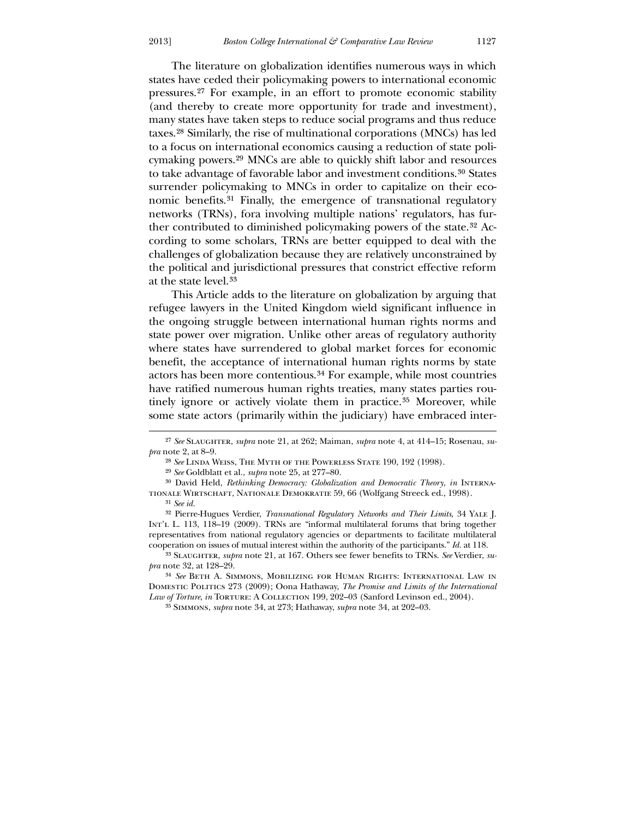The literature on globalization identifies numerous ways in which states have ceded their policymaking powers to international economic pressures.[27](#page-5-0) For example, in an effort to promote economic stability (and thereby to create more opportunity for trade and investment), many states have taken steps to reduce social programs and thus reduce taxes.[28](#page-5-1) Similarly, the rise of multinational corporations (MNCs) has led to a focus on international economics causing a reduction of state policymaking powers.[29](#page-5-2) MNCs are able to quickly shift labor and resources to take advantage of favorable labor and investment conditions.[30](#page-5-3) States surrender policymaking to MNCs in order to capitalize on their economic benefits.[31](#page-5-4) Finally, the emergence of transnational regulatory networks (TRNs), fora involving multiple nations' regulators, has further contributed to diminished policymaking powers of the state.[32](#page-5-5) According to some scholars, TRNs are better equipped to deal with the challenges of globalization because they are relatively unconstrained by the political and jurisdictional pressures that constrict effective reform at the state level.[33](#page-5-6)

 This Article adds to the literature on globalization by arguing that refugee lawyers in the United Kingdom wield significant influence in the ongoing struggle between international human rights norms and state power over migration. Unlike other areas of regulatory authority where states have surrendered to global market forces for economic benefit, the acceptance of international human rights norms by state actors has been more contentious.[34](#page-5-7) For example, while most countries have ratified numerous human rights treaties, many states parties rou-tinely ignore or actively violate them in practice.<sup>[35](#page-5-8)</sup> Moreover, while some state actors (primarily within the judiciary) have embraced inter-

<sup>27</sup> *See* Slaughter, *supra* note 21, at 262; Maiman, *supra* note 4, at 414–15; Rosenau, *supra* note 2, at 8–9.

<sup>28</sup> *See* Linda Weiss, The Myth of the Powerless State 190, 192 (1998).

<sup>29</sup> *See* Goldblatt et al., *supra* note 25, at 277–80.

<sup>&</sup>lt;sup>30</sup> David Held, *Rethinking Democracy: Globalization and Democratic Theory*, *in* INTERNAtionale Wirtschaft, Nationale Demokratie 59, 66 (Wolfgang Streeck ed., 1998). 31 *See id.*

<sup>32</sup> Pierre-Hugues Verdier, *Transnational Regulatory Networks and Their Limits*, 34 Yale J. INT'L L. 113, 118–19 (2009). TRNs are "informal multilateral forums that bring together representatives from national regulatory agencies or departments to facilitate multilateral cooperation on issues of mutual interest within the authority of the participants." *Id.* at 118.

<sup>33</sup> Slaughter, *supra* note 21, at 167. Others see fewer benefits to TRNs. *See* Verdier, *supra* note 32, at 128–29.

<span id="page-5-4"></span><span id="page-5-3"></span><span id="page-5-2"></span><span id="page-5-1"></span><span id="page-5-0"></span><sup>34</sup> *See* Beth A. Simmons, Mobilizing for Human Rights: International Law in Domestic Politics 273 (2009); Oona Hathaway, *The Promise and Limits of the International Law of Torture*, *in* Torture: A Collection 199, 202–03 (Sanford Levinson ed., 2004).

<span id="page-5-8"></span><span id="page-5-7"></span><span id="page-5-6"></span><span id="page-5-5"></span><sup>35</sup> Simmons, *supra* note 34, at 273; Hathaway, *supra* note 34, at 202–03.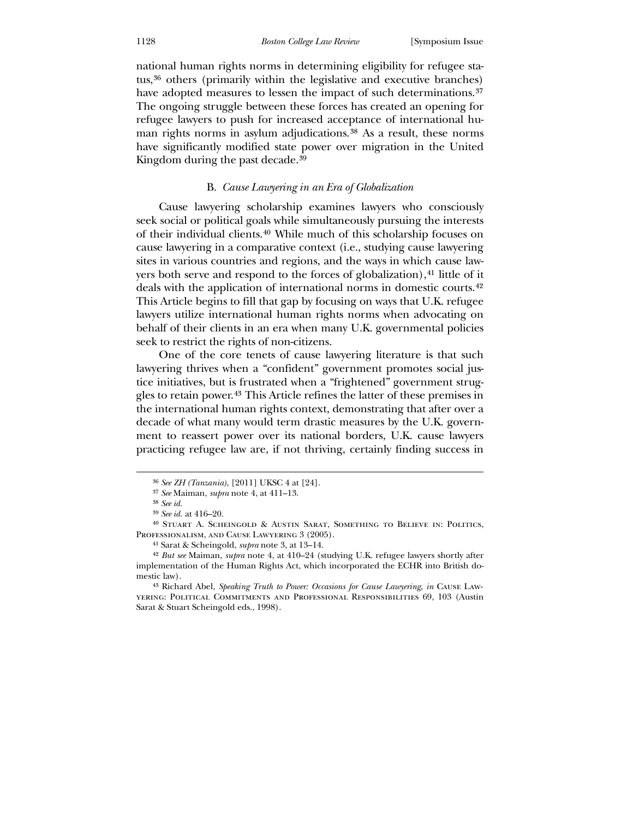national human rights norms in determining eligibility for refugee status,[36](#page-6-0) others (primarily within the legislative and executive branches) have adopted measures to lessen the impact of such determinations.<sup>[37](#page-6-1)</sup> The ongoing struggle between these forces has created an opening for refugee lawyers to push for increased acceptance of international hu-man rights norms in asylum adjudications.<sup>[38](#page-6-2)</sup> As a result, these norms have significantly modified state power over migration in the United Kingdom during the past decade.<sup>[39](#page-6-3)</sup>

# B. *Cause Lawyering in an Era of Globalization*

 Cause lawyering scholarship examines lawyers who consciously seek social or political goals while simultaneously pursuing the interests of their individual clients.[40](#page-6-4) While much of this scholarship focuses on cause lawyering in a comparative context (i.e., studying cause lawyering sites in various countries and regions, and the ways in which cause law-yers both serve and respond to the forces of globalization),<sup>[41](#page-6-5)</sup> little of it deals with the application of international norms in domestic courts.[42](#page-6-6) This Article begins to fill that gap by focusing on ways that U.K. refugee lawyers utilize international human rights norms when advocating on behalf of their clients in an era when many U.K. governmental policies seek to restrict the rights of non-citizens.

 One of the core tenets of cause lawyering literature is that such lawyering thrives when a "confident" government promotes social justice initiatives, but is frustrated when a "frightened" government struggles to retain power.[43](#page-6-7) This Article refines the latter of these premises in the international human rights context, demonstrating that after over a decade of what many would term drastic measures by the U.K. government to reassert power over its national borders, U.K. cause lawyers practicing refugee law are, if not thriving, certainly finding success in

<sup>36</sup> *See ZH (Tanzania)*, [2011] UKSC 4 at [24].

<sup>37</sup> *See* Maiman, *supra* note 4, at 411–13.

<sup>38</sup> *See id.*

<sup>39</sup> *See id.* at 416–20.

<sup>40</sup> Stuart A. Scheingold & Austin Sarat, Something to Believe in: Politics, Professionalism, and Cause Lawyering 3 (2005).

<sup>41</sup> Sarat & Scheingold, *supra* note 3, at 13–14.

<sup>42</sup> *But see* Maiman, *supra* note 4, at 410–24 (studying U.K. refugee lawyers shortly after implementation of the Human Rights Act, which incorporated the ECHR into British domestic law).

<span id="page-6-7"></span><span id="page-6-6"></span><span id="page-6-5"></span><span id="page-6-4"></span><span id="page-6-3"></span><span id="page-6-2"></span><span id="page-6-1"></span><span id="page-6-0"></span><sup>43</sup> Richard Abel, *Speaking Truth to Power: Occasions for Cause Lawyering*, *in* Cause Lawyering: Political Commitments and Professional Responsibilities 69, 103 (Austin Sarat & Stuart Scheingold eds., 1998).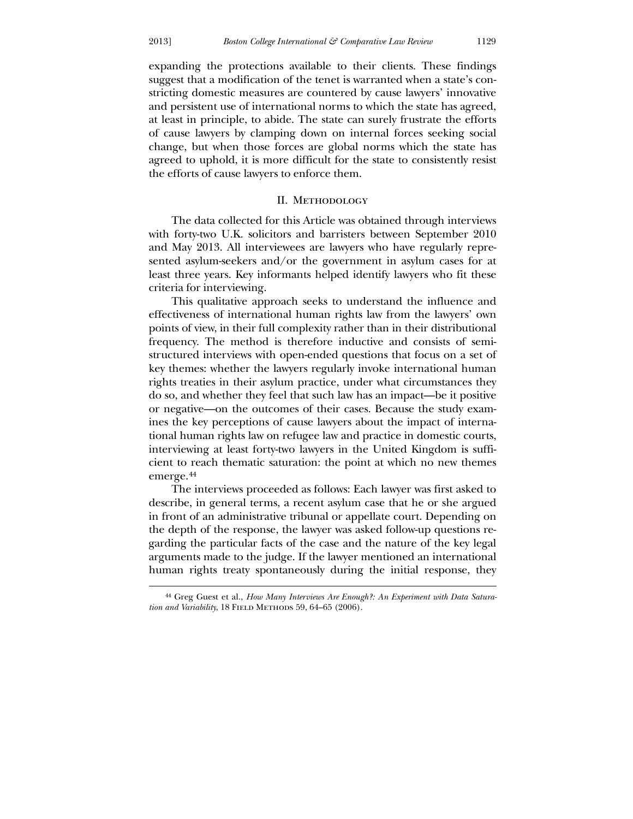<u>.</u>

expanding the protections available to their clients. These findings suggest that a modification of the tenet is warranted when a state's constricting domestic measures are countered by cause lawyers' innovative and persistent use of international norms to which the state has agreed, at least in principle, to abide. The state can surely frustrate the efforts of cause lawyers by clamping down on internal forces seeking social change, but when those forces are global norms which the state has agreed to uphold, it is more difficult for the state to consistently resist the efforts of cause lawyers to enforce them.

#### II. Methodology

The data collected for this Article was obtained through interviews with forty-two U.K. solicitors and barristers between September 2010 and May 2013. All interviewees are lawyers who have regularly represented asylum-seekers and/or the government in asylum cases for at least three years. Key informants helped identify lawyers who fit these criteria for interviewing.

 This qualitative approach seeks to understand the influence and effectiveness of international human rights law from the lawyers' own points of view, in their full complexity rather than in their distributional frequency. The method is therefore inductive and consists of semistructured interviews with open-ended questions that focus on a set of key themes: whether the lawyers regularly invoke international human rights treaties in their asylum practice, under what circumstances they do so, and whether they feel that such law has an impact—be it positive or negative—on the outcomes of their cases. Because the study examines the key perceptions of cause lawyers about the impact of international human rights law on refugee law and practice in domestic courts, interviewing at least forty-two lawyers in the United Kingdom is sufficient to reach thematic saturation: the point at which no new themes emerge.[44](#page-7-0)

The interviews proceeded as follows: Each lawyer was first asked to describe, in general terms, a recent asylum case that he or she argued in front of an administrative tribunal or appellate court. Depending on the depth of the response, the lawyer was asked follow-up questions regarding the particular facts of the case and the nature of the key legal arguments made to the judge. If the lawyer mentioned an international human rights treaty spontaneously during the initial response, they

<span id="page-7-0"></span><sup>44</sup> Greg Guest et al., *How Many Interviews Are Enough?: An Experiment with Data Saturation and Variability*, 18 FIELD METHODS 59, 64–65 (2006).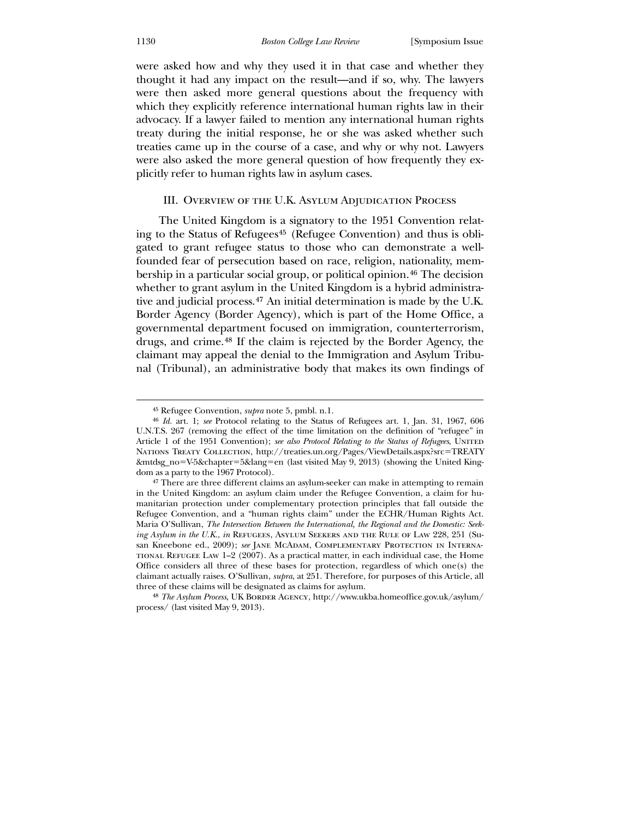were asked how and why they used it in that case and whether they thought it had any impact on the result—and if so, why. The lawyers were then asked more general questions about the frequency with which they explicitly reference international human rights law in their advocacy. If a lawyer failed to mention any international human rights treaty during the initial response, he or she was asked whether such treaties came up in the course of a case, and why or why not. Lawyers were also asked the more general question of how frequently they explicitly refer to human rights law in asylum cases.

## III. Overview of the U.K. Asylum Adjudication Process

 The United Kingdom is a signatory to the 1951 Convention relating to the Status of Refugees[45](#page-8-0) (Refugee Convention) and thus is obligated to grant refugee status to those who can demonstrate a wellfounded fear of persecution based on race, religion, nationality, mem-bership in a particular social group, or political opinion.<sup>[46](#page-8-1)</sup> The decision whether to grant asylum in the United Kingdom is a hybrid administrative and judicial process.[47](#page-8-2) An initial determination is made by the U.K. Border Agency (Border Agency), which is part of the Home Office, a governmental department focused on immigration, counterterrorism, drugs, and crime.[48](#page-8-3) If the claim is rejected by the Border Agency, the claimant may appeal the denial to the Immigration and Asylum Tribunal (Tribunal), an administrative body that makes its own findings of

<sup>45</sup> Refugee Convention, *supra* note 5, pmbl. n.1.

<sup>46</sup> *Id.* art. 1; *see* Protocol relating to the Status of Refugees art. 1, Jan. 31, 1967, 606 U.N.T.S. 267 (removing the effect of the time limitation on the definition of "refugee" in Article 1 of the 1951 Convention); *see also Protocol Relating to the Status of Refugees*, United Nations Treaty Collection, http://treaties.un.org/Pages/ViewDetails.aspx?src=TREATY &mtdsg\_no=V-5&chapter=5&lang=en (last visited May 9, 2013) (showing the United Kingdom as a party to the 1967 Protocol).

<sup>47</sup> There are three different claims an asylum-seeker can make in attempting to remain in the United Kingdom: an asylum claim under the Refugee Convention, a claim for humanitarian protection under complementary protection principles that fall outside the Refugee Convention, and a "human rights claim" under the ECHR/Human Rights Act. Maria O'Sullivan, *The Intersection Between the International, the Regional and the Domestic: Seeking Asylum in the U.K., in* REFUGEES, ASYLUM SEEKERS AND THE RULE OF LAW 228, 251 (Susan Kneebone ed., 2009); *see* Jane McAdam, Complementary Protection in Interna-TIONAL REFUGEE LAW  $1-2$  (2007). As a practical matter, in each individual case, the Home Office considers all three of these bases for protection, regardless of which one(s) the claimant actually raises. O'Sullivan, *supra*, at 251. Therefore, for purposes of this Article, all three of these claims will be designated as claims for asylum.

<span id="page-8-3"></span><span id="page-8-2"></span><span id="page-8-1"></span><span id="page-8-0"></span><sup>48</sup> *The Asylum Process*, UK Border Agency, http://www.ukba.homeoffice.gov.uk/asylum/ process/ (last visited May 9, 2013).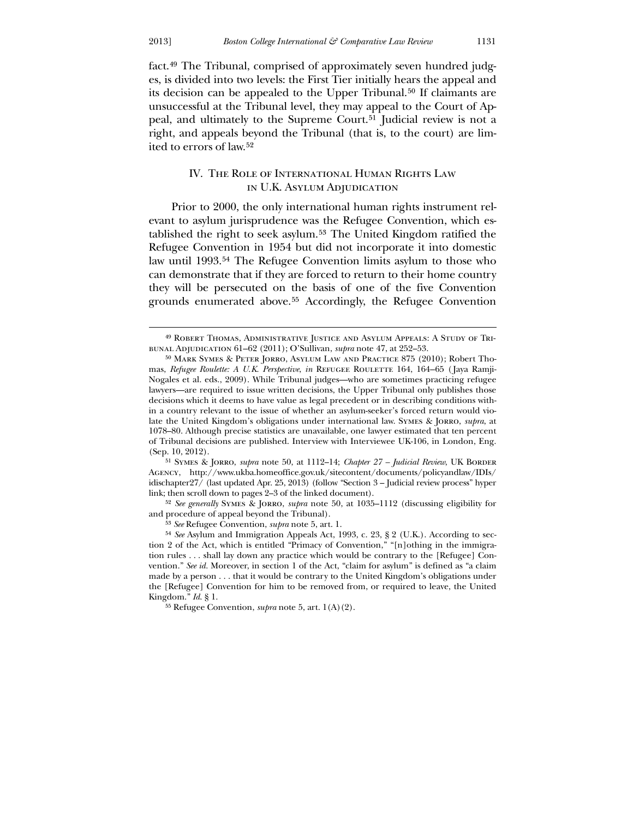<u>.</u>

fact.[49](#page-9-0) The Tribunal, comprised of approximately seven hundred judges, is divided into two levels: the First Tier initially hears the appeal and its decision can be appealed to the Upper Tribunal.[50](#page-9-1) If claimants are unsuccessful at the Tribunal level, they may appeal to the Court of Ap-peal, and ultimately to the Supreme Court.<sup>[51](#page-9-2)</sup> Judicial review is not a right, and appeals beyond the Tribunal (that is, to the court) are limited to errors of law.[52](#page-9-3)

# IV. The Role of International Human Rights Law in U.K. Asylum Adjudication

 Prior to 2000, the only international human rights instrument relevant to asylum jurisprudence was the Refugee Convention, which established the right to seek asylum.[53](#page-9-4) The United Kingdom ratified the Refugee Convention in 1954 but did not incorporate it into domestic law until 1993.[54](#page-9-5) The Refugee Convention limits asylum to those who can demonstrate that if they are forced to return to their home country they will be persecuted on the basis of one of the five Convention grounds enumerated above.[55](#page-9-6) Accordingly, the Refugee Convention

<sup>51</sup> SYMES & JORRO, *supra* note 50, at 1112-14; *Chapter 27 - Judicial Review*, UK BORDER Agency, http://www.ukba.homeoffice.gov.uk/sitecontent/documents/policyandlaw/IDIs/ idischapter27/ (last updated Apr. 25, 2013) (follow "Section 3 – Judicial review process" hyper link; then scroll down to pages 2–3 of the linked document).

<span id="page-9-1"></span><span id="page-9-0"></span>52 *See generally* Symes & Jorro, *supra* note 50, at 1035–1112 (discussing eligibility for and procedure of appeal beyond the Tribunal).

53 *See* Refugee Convention, *supra* note 5, art. 1.

<span id="page-9-6"></span><span id="page-9-5"></span><span id="page-9-4"></span><span id="page-9-3"></span><span id="page-9-2"></span>55 Refugee Convention, *supra* note 5, art. 1(A)(2).

<sup>49</sup> Robert Thomas, Administrative Justice and Asylum Appeals: A Study of Tribunal Adjudication 61–62 (2011); O'Sullivan, *supra* note 47, at 252–53.

<sup>50</sup> Mark Symes & Peter Jorro, Asylum Law and Practice 875 (2010); Robert Thomas, *Refugee Roulette: A U.K. Perspective*, *in* Refugee Roulette 164, 164–65 ( Jaya Ramji-Nogales et al. eds., 2009). While Tribunal judges—who are sometimes practicing refugee lawyers—are required to issue written decisions, the Upper Tribunal only publishes those decisions which it deems to have value as legal precedent or in describing conditions within a country relevant to the issue of whether an asylum-seeker's forced return would violate the United Kingdom's obligations under international law. Symes & Jorro, *supra*, at 1078–80. Although precise statistics are unavailable, one lawyer estimated that ten percent of Tribunal decisions are published. Interview with Interviewee UK-106, in London, Eng. (Sep. 10, 2012).

<sup>54</sup> *See* Asylum and Immigration Appeals Act, 1993, c. 23, § 2 (U.K.). According to section 2 of the Act, which is entitled "Primacy of Convention," "[n]othing in the immigration rules . . . shall lay down any practice which would be contrary to the [Refugee] Convention." *See id.* Moreover, in section 1 of the Act, "claim for asylum" is defined as "a claim made by a person . . . that it would be contrary to the United Kingdom's obligations under the [Refugee] Convention for him to be removed from, or required to leave, the United Kingdom." *Id*. § 1.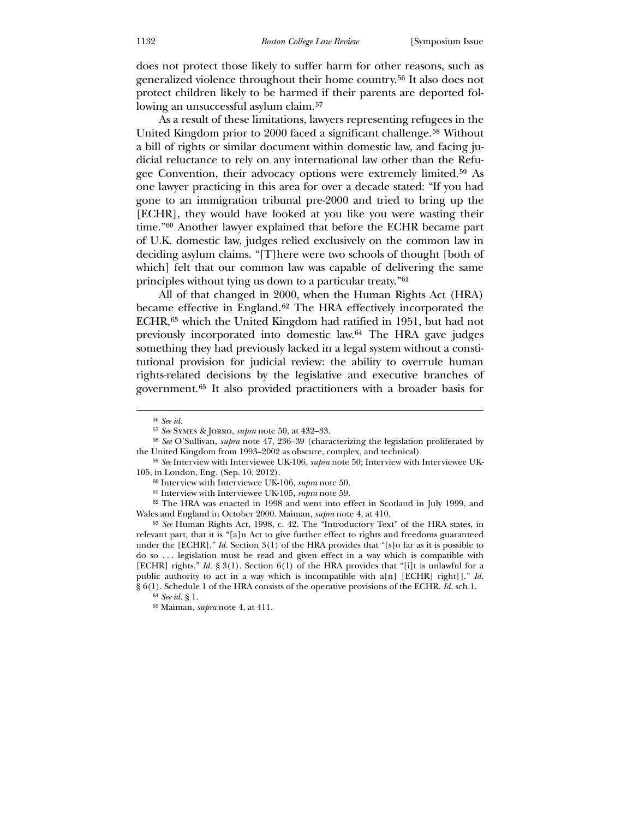does not protect those likely to suffer harm for other reasons, such as generalized violence throughout their home country.[56](#page-10-0) It also does not protect children likely to be harmed if their parents are deported following an unsuccessful asylum claim.[57](#page-10-1)

 As a result of these limitations, lawyers representing refugees in the United Kingdom prior to 2000 faced a significant challenge.[58](#page-10-2) Without a bill of rights or similar document within domestic law, and facing judicial reluctance to rely on any international law other than the Refugee Convention, their advocacy options were extremely limited.[59](#page-10-3) As one lawyer practicing in this area for over a decade stated: "If you had gone to an immigration tribunal pre-2000 and tried to bring up the [ECHR], they would have looked at you like you were wasting their time."[60](#page-10-4) Another lawyer explained that before the ECHR became part of U.K. domestic law, judges relied exclusively on the common law in deciding asylum claims. "[T]here were two schools of thought [both of which] felt that our common law was capable of delivering the same principles without tying us down to a particular treaty."[61](#page-10-5)

 All of that changed in 2000, when the Human Rights Act (HRA) became effective in England.[62](#page-10-6) The HRA effectively incorporated the ECHR,[63](#page-10-7) which the United Kingdom had ratified in 1951, but had not previously incorporated into domestic law.[64](#page-10-8) The HRA gave judges something they had previously lacked in a legal system without a constitutional provision for judicial review: the ability to overrule human rights-related decisions by the legislative and executive branches of government.[65](#page-10-9) It also provided practitioners with a broader basis for

 $\overline{a}$ 

62 The HRA was enacted in 1998 and went into effect in Scotland in July 1999, and Wales and England in October 2000. Maiman, *supra* note 4, at 410.

<span id="page-10-2"></span><span id="page-10-1"></span><span id="page-10-0"></span>63 *See* Human Rights Act, 1998, c. 42. The "Introductory Text" of the HRA states, in relevant part, that it is "[a]n Act to give further effect to rights and freedoms guaranteed under the [ECHR]." *Id.* Section 3(1) of the HRA provides that "[s]o far as it is possible to do so . . . legislation must be read and given effect in a way which is compatible with [ECHR] rights." *Id.* § 3(1). Section 6(1) of the HRA provides that "[i]t is unlawful for a public authority to act in a way which is incompatible with a[n] [ECHR] right[]." *Id.*  § 6(1). Schedule 1 of the HRA consists of the operative provisions of the ECHR. *Id.* sch.1.

<sup>56</sup> *See id.*

<sup>57</sup> *See* Symes & Jorro, *supra* note 50, at 432–33.

<sup>58</sup> *See* O'Sullivan, *supra* note 47, 236–39 (characterizing the legislation proliferated by the United Kingdom from 1993–2002 as obscure, complex, and technical).

<sup>59</sup> *See* Interview with Interviewee UK-106, *supra* note 50; Interview with Interviewee UK-105, in London, Eng. (Sep. 10, 2012).

<sup>60</sup> Interview with Interviewee UK-106, *supra* note 50.

<sup>61</sup> Interview with Interviewee UK-105, *supra* note 59.

<sup>64</sup> *See id.* § 1.

<span id="page-10-9"></span><span id="page-10-8"></span><span id="page-10-7"></span><span id="page-10-6"></span><span id="page-10-5"></span><span id="page-10-4"></span><span id="page-10-3"></span><sup>65</sup> Maiman, *supra* note 4, at 411.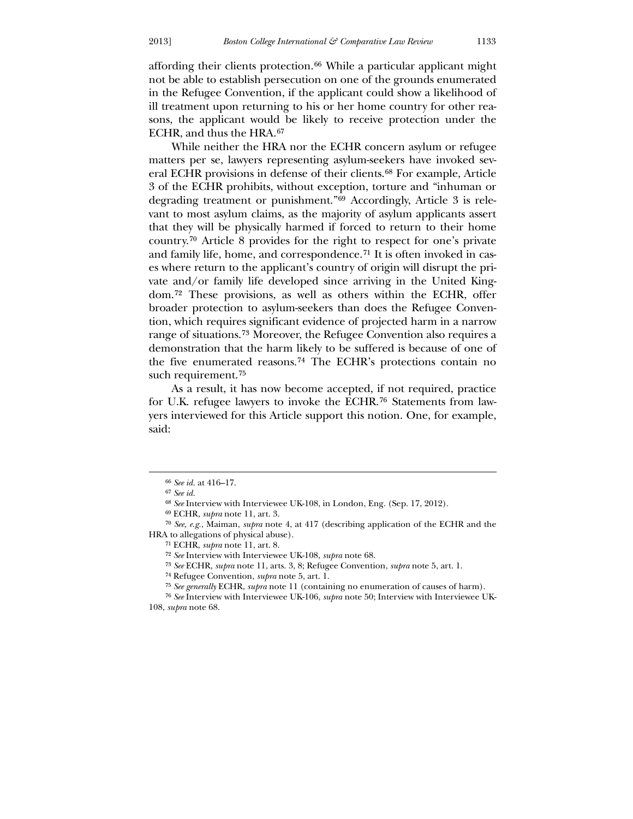affording their clients protection.[66](#page-11-0) While a particular applicant might not be able to establish persecution on one of the grounds enumerated in the Refugee Convention, if the applicant could show a likelihood of ill treatment upon returning to his or her home country for other reasons, the applicant would be likely to receive protection under the ECHR, and thus the HRA.[67](#page-11-1)

While neither the HRA nor the ECHR concern asylum or refugee matters per se, lawyers representing asylum-seekers have invoked several ECHR provisions in defense of their clients.[68](#page-11-2) For example, Article 3 of the ECHR prohibits, without exception, torture and "inhuman or degrading treatment or punishment."[69](#page-11-3) Accordingly, Article 3 is relevant to most asylum claims, as the majority of asylum applicants assert that they will be physically harmed if forced to return to their home country.[70](#page-11-4) Article 8 provides for the right to respect for one's private and family life, home, and correspondence.[71](#page-11-5) It is often invoked in cases where return to the applicant's country of origin will disrupt the private and/or family life developed since arriving in the United Kingdom.[72](#page-11-6) These provisions, as well as others within the ECHR, offer broader protection to asylum-seekers than does the Refugee Convention, which requires significant evidence of projected harm in a narrow range of situations.[73](#page-11-7) Moreover, the Refugee Convention also requires a demonstration that the harm likely to be suffered is because of one of the five enumerated reasons.[74](#page-11-8) The ECHR's protections contain no such requirement.[75](#page-11-9)

 As a result, it has now become accepted, if not required, practice for U.K. refugee lawyers to invoke the ECHR.[76](#page-11-10) Statements from lawyers interviewed for this Article support this notion. One, for example, said:

-

<sup>66</sup> *See id.* at 416–17.

<sup>67</sup> *See id.*

<sup>68</sup> *See* Interview with Interviewee UK-108, in London, Eng. (Sep. 17, 2012).

<sup>69</sup> ECHR, *supra* note 11, art. 3.

<sup>70</sup> *See, e.g.*, Maiman, *supra* note 4, at 417 (describing application of the ECHR and the HRA to allegations of physical abuse).

<sup>71</sup> ECHR, *supra* note 11, art. 8.

<sup>72</sup> *See* Interview with Interviewee UK-108, *supra* note 68.

<sup>73</sup> *See* ECHR, *supra* note 11, arts. 3, 8; Refugee Convention, *supra* note 5, art. 1.

<sup>74</sup> Refugee Convention, *supra* note 5, art. 1.

<sup>75</sup> *See generally* ECHR, *supra* note 11 (containing no enumeration of causes of harm).

<span id="page-11-10"></span><span id="page-11-9"></span><span id="page-11-8"></span><span id="page-11-7"></span><span id="page-11-6"></span><span id="page-11-5"></span><span id="page-11-4"></span><span id="page-11-3"></span><span id="page-11-2"></span><span id="page-11-1"></span><span id="page-11-0"></span><sup>76</sup> *See* Interview with Interviewee UK-106, *supra* note 50; Interview with Interviewee UK-108, *supra* note 68.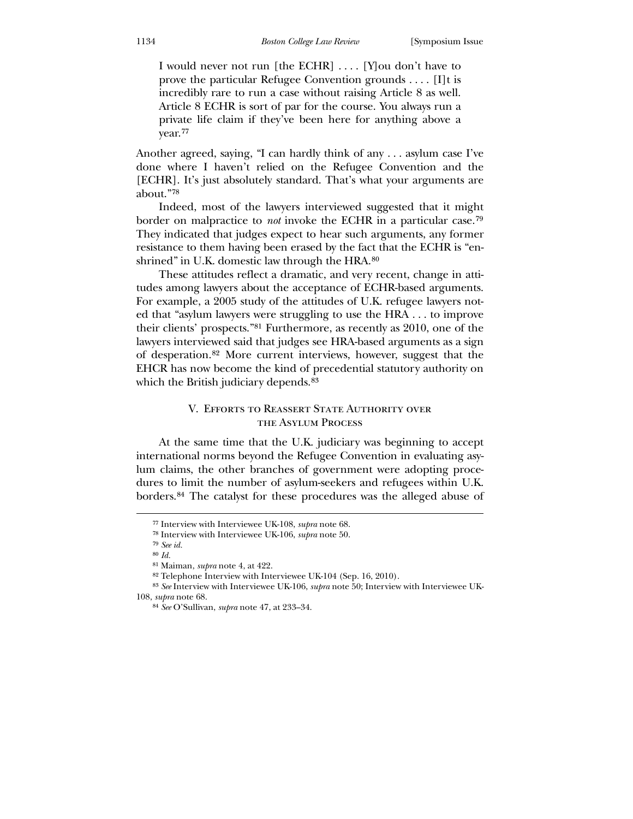I would never not run [the ECHR] . . . . [Y]ou don't have to prove the particular Refugee Convention grounds . . . . [I]t is incredibly rare to run a case without raising Article 8 as well. Article 8 ECHR is sort of par for the course. You always run a private life claim if they've been here for anything above a year.[77](#page-12-0)

[done whe](#page-12-0)re I haven't relied on the Refugee Convention and the [Another agreed, saying, "I can hardly think of any . . . asylum case I've](#page-12-0)  [ECHR]. It's just absolutely standard. That's what your arguments are about."[78](#page-12-1)

[They indicated that judges expect to hear such arg](#page-12-2)uments, any former resistance to them having been erased by the fact that the ECHR is "en- [Indeed, most of the lawyers interviewed suggested that it might](#page-12-1)  border on malpractice to *not* [invoke the ECHR in a particular case.](#page-12-1)79 shrined" in U.K. domestic law through the HRA.<sup>[80](#page-12-3)</sup>

[of desperation.](#page-12-4)<sup>82</sup> [More current inter](#page-12-5)views, however, suggest that the EHCR has now become the kind of precedential statutory authority on which the British judiciary depends.<sup>83</sup>  [These attitudes reflect a dramatic, and very recent, change in atti](#page-12-3)[tudes among lawyers about the acceptance of ECHR-based arguments.](#page-12-3)  [For example, a 2005 study of the attitudes of U.K. refugee lawyers not](#page-12-3)[ed that "asylum lawyers were struggling to use the HRA . . . to improve](#page-12-3)  [their clients' prospects."](#page-12-3)81 [Furthermore, as recently as 2010, one of the](#page-12-4)  [lawyers interviewed said that judges see HRA-based arguments as a sign](#page-12-4) 

## V. Efforts to Reassert State Authority over the Asylum Process

borders.84 The catalyst for these procedures was the alleged abuse of At the same time that the U.K. judiciary was beginning to accept international norms beyond the Refugee Convention in evaluating asylum claims, the other branches of government were adopting procedures to limit the number of asylum-seekers and refugees within U.K.

<sup>77</sup> Interview with Interviewee UK-108, *supra* note 68.

<sup>78</sup> Interview with Interviewee UK-106, *supra* note 50.

<sup>79</sup> *See id.*

<sup>80</sup> *Id.*

<sup>81</sup> Maiman, *supra* note 4, at 422.

<sup>82</sup> Telephone Interview with Interviewee UK-104 (Sep. 16, 2010).

<span id="page-12-1"></span><span id="page-12-0"></span><sup>83</sup> *See* Interview with Interviewee UK-106, *supra* note 50; Interview with Interviewee UK-108, *supra* note 68.

<span id="page-12-6"></span><span id="page-12-5"></span><span id="page-12-4"></span><span id="page-12-3"></span><span id="page-12-2"></span><sup>84</sup> *See* O'Sullivan, *supra* note 47, at 233–34.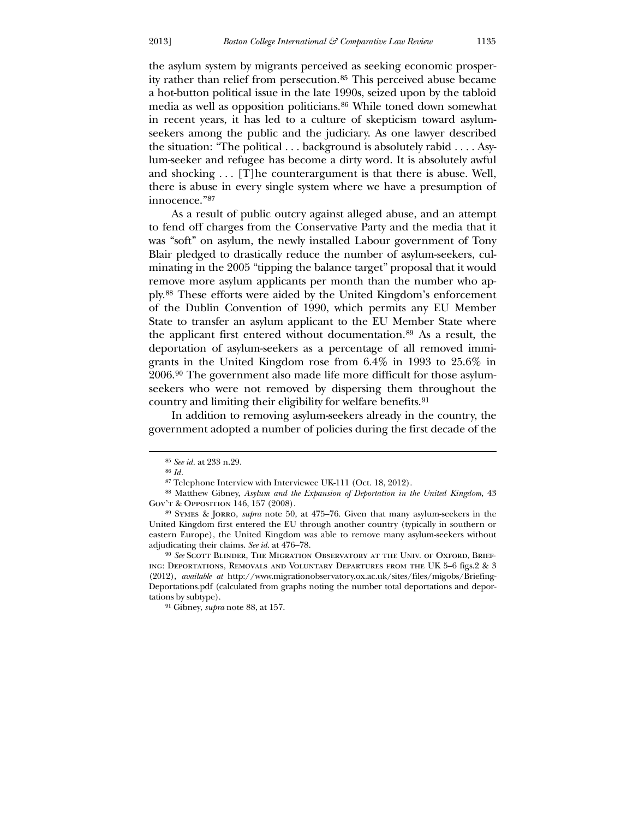the asylum system by migrants perceived as seeking economic prosperity rather than relief from persecution.[85](#page-12-6) This perceived abuse became a hot-button political issue in the late 1990s, seized upon by the tabloid media as well as opposition politicians.[86](#page-13-0) While toned down somewhat in recent years, it has led to a culture of skepticism toward asylumseekers among the public and the judiciary. As one lawyer described the situation: "The political . . . background is absolutely rabid . . . . Asylum-seeker and refugee has become a dirty word. It is absolutely awful and shocking . . . [T]he counterargument is that there is abuse. Well, there is abuse in every single system where we have a presumption of innocence."<sup>[87](#page-13-1)</sup>

[seekers who were not removed by dispersing them thr](#page-13-4)oughout the country and limiting their eligibility for welfare benefits.<sup>[91](#page-14-0)</sup>  [As a result of public outcry against alleged abuse, and an attempt](#page-13-1)  [to fend off charges from the Conservative Party and the media that it](#page-13-1)  [was "soft" on asylum, the newly installed Labour government of Tony](#page-13-1)  [Blair pledged to drastically reduce the number of asylum-seekers, cul](#page-13-1)[minating in the 2005 "tipping the balance target" proposal that it would](#page-13-1)  [remove more asylum applicants per month than the number who ap](#page-13-1)[ply.](#page-13-1)88 [These efforts were aided by the United Kingdom's enforcement](#page-13-2)  [of the Dublin Convention of 1990, which permits any EU Member](#page-13-2)  [State to transfer an asylum applicant to the EU Member State where](#page-13-2)  [the applicant first entered without documentation.](#page-13-2)89 [As a result, the](#page-13-3)  [deportation of asylum-seekers as a percentage of all removed immi](#page-13-3)[grants in the United Kingdom rose from 6.4% in 1993 to 25.6% in](#page-13-3)  [2006.](#page-13-3)90 [The government also made life more difficult for those asylum-](#page-13-4)

 [In addition to removing asylum-seekers already in the country, the](#page-14-0)  [government adopted a number of policies during the first decade of the](#page-14-0) 

<sup>85</sup> *See id.* at 233 n.29.

<sup>86</sup> *Id.*

<sup>87</sup> Telephone Interview with Interviewee UK-111 (Oct. 18, 2012).

<sup>88</sup> Matthew Gibney, *Asylum and the Expansion of Deportation in the United Kingdom*, 43 Gov't & Opposition 146, 157 (2008).

<sup>89</sup> Symes & Jorro, *supra* note 50, at 475–76. Given that many asylum-seekers in the United Kingdom first entered the EU through another country (typically in southern or eastern Europe), the United Kingdom was able to remove many asylum-seekers without adjudicating their claims. *See id.* at 476–78.

<span id="page-13-0"></span><sup>90</sup> *See* Scott Blinder, The Migration Observatory at the Univ. of Oxford, Briefing: Deportations, Removals and Voluntary Departures from the UK 5–6 figs.2 & 3 (2012), *available at* http://www.migrationobservatory.ox.ac.uk/sites/files/migobs/Briefing-Deportations.pdf (calculated from graphs noting the number total deportations and deportations by subtype).

<span id="page-13-4"></span><span id="page-13-3"></span><span id="page-13-2"></span><span id="page-13-1"></span><sup>91</sup> Gibney, *supra* note 88, at 157.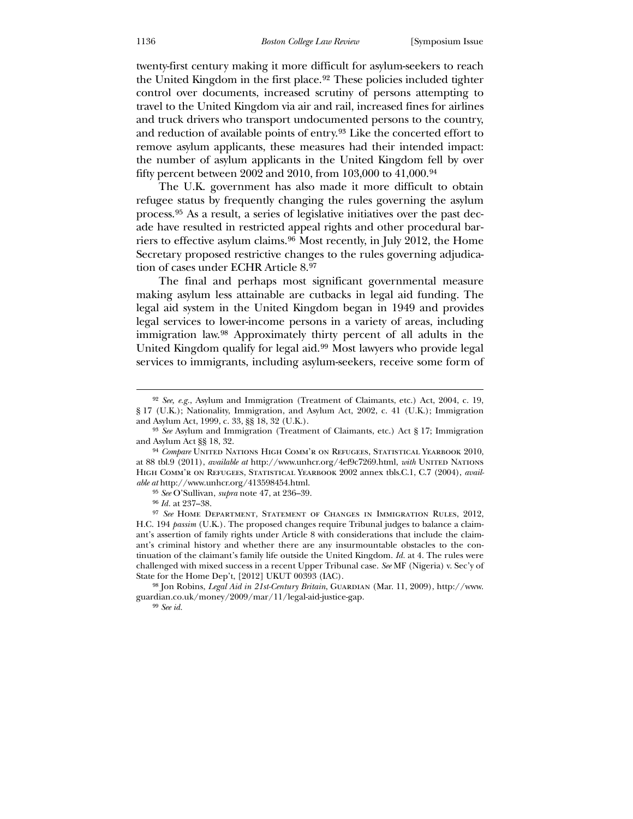[twenty-first century making it more difficult for asylum-seekers to reach](#page-14-0)  [the United Kingdom in the first place.](#page-14-0)92 [These policies included tighter](#page-14-1)  [control over documents, increased scrutiny of persons attempting to](#page-14-1)  [travel to the United Kingdom via air and rail, increased fines for airlines](#page-14-1)  [and truck drivers who transport undocumented persons to the country,](#page-14-1)  [and reduction of available points of entry.](#page-14-1)93 [Like the concerted effort to](#page-14-2)  [remove asylum applicants, these measures had their intended impact:](#page-14-2)  [the number of asylum applicants in the United Kingdom fell](#page-14-2) by over fifty percent between 2002 and 2010, from 103,000 to 41,000.<sup>[94](#page-14-3)</sup>

[Secretary proposed restrictive changes to](#page-14-5) the rules governing adjudica-tion of cases under ECHR Article 8.[97](#page-14-6)  [The U.K. government has also made it more difficult to obtain](#page-14-3)  [refugee status by frequently changing the rules governing the asylum](#page-14-3)  [process.](#page-14-3)95 [As a result, a series of legislative initiatives over the past dec](#page-14-4)[ade have resulted in restricted appeal rights and other procedural bar](#page-14-4)[riers to effective asylum claims.](#page-14-4)96 [Most recently, in July 2012, the Home](#page-14-5) 

services to immigrants, including asylum-seekers, receive some form of  [The final and perhaps most significant governmental measure](#page-14-6)  [making asylum less attainable are cutbacks in legal aid funding. The](#page-14-6)  [legal aid system in the United Kingdom began in 1949 and provides](#page-14-6)  [legal services to lower-income persons in a variety of areas, including](#page-14-6)  [immigration law.](#page-14-6)98 [Approximately thirty percent of all adults in the](#page-14-7)  [United Kingdom qualify for legal aid.](#page-14-7)99 [Most lawyers who provide legal](#page-15-0) 

<sup>92</sup> *See, e.g.*, Asylum and Immigration (Treatment of Claimants, etc.) Act, 2004, c. 19, § 17 (U.K.); Nationality, Immigration, and Asylum Act, 2002, c. 41 (U.K.); Immigration and Asylum Act, 1999, c. 33, §§ 18, 32 (U.K.).

<sup>93</sup> *See* Asylum and Immigration (Treatment of Claimants, etc.) Act § 17; Immigration and Asylum Act §§ 18, 32.

<sup>94</sup> *Compare* United Nations High Comm'r on Refugees, Statistical Yearbook 2010, at 88 tbl.9 (2011), *available at* http://www.unhcr.org/4ef9c7269.html, *with* UNITED NATIONS High Comm'r on Refugees, Statistical Yearbook 2002 annex tbls.C.1, C.7 (2004), *available at* http://www.unhcr.org/413598454.html.

<sup>95</sup> *See* O'Sullivan, *supra* note 47, at 236–39.

<sup>96</sup> *Id.* at 237–38.

<span id="page-14-0"></span><sup>97</sup> *See* Home Department, Statement of Changes in Immigration Rules, 2012, H.C. 194 *passim* (U.K.). The proposed changes require Tribunal judges to balance a claimant's assertion of family rights under Article 8 with considerations that include the claimant's criminal history and whether there are any insurmountable obstacles to the continuation of the claimant's family life outside the United Kingdom. *Id.* at 4. The rules were challenged with mixed success in a recent Upper Tribunal case. *See* MF (Nigeria) v. Sec'y of State for the Home Dep't, [2012] UKUT 00393 (IAC).

<span id="page-14-5"></span><span id="page-14-4"></span><span id="page-14-3"></span><span id="page-14-2"></span><span id="page-14-1"></span><sup>&</sup>lt;sup>98</sup> Jon Robins, *Legal Aid in 21st-Century Britain*, GUARDIAN (Mar. 11, 2009), http://www. guardian.co.uk/money/2009/mar/11/legal-aid-justice-gap.

<span id="page-14-7"></span><span id="page-14-6"></span><sup>99</sup> *See id.*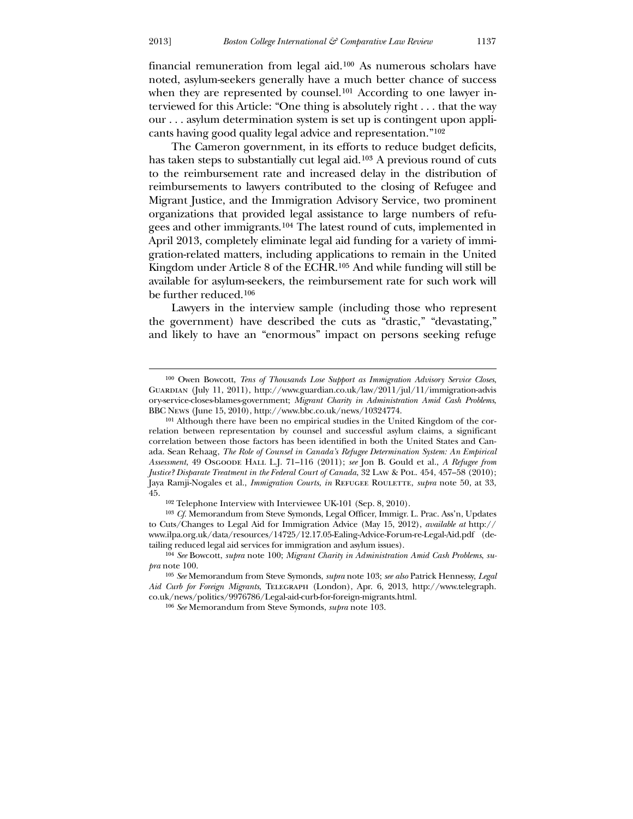<u>.</u>

[financial remuneration from legal aid.](#page-15-0)100 [As numerous scholars have](#page-15-1)  [noted, asylum-seekers generally have a much better chance of success](#page-15-1)  [when they are represented by counsel.](#page-15-1)<sup>101</sup> [According to one lawyer in](#page-15-2)[terviewed for this Article: "One thing is absolutely right . . . that the way](#page-15-2)  [our . . . asylum determination system is set up is contingent upon appli](#page-15-2)[cants having good quality legal advice and representation."](#page-15-2)102

 The Cameron government, in its efforts to reduce budget deficits, has taken steps to substantially cut legal aid.[103](#page-15-3) A previous round of cuts to the reimbursement rate and increased delay in the distribution of reimbursements to lawyers contributed to the closing of Refugee and Migrant Justice, and the Immigration Advisory Service, two prominent organizations that provided legal assistance to large numbers of refugees and other immigrants.[104](#page-15-4) The latest round of cuts, implemented in April 2013, completely eliminate legal aid funding for a variety of immigration-related matters, including applications to remain in the United Kingdom under Article 8 of the ECHR.[105](#page-15-5) And while funding will still be available for asylum-seekers, the reimbursement rate for such work will be further reduced.[106](#page-15-6)

 Lawyers in the interview sample (including those who represent the government) have described the cuts as "drastic," "devastating," and likely to have an "enormous" impact on persons seeking refuge

<sup>100</sup> Owen Bowcott, *Tens of Thousands Lose Support as Immigration Advisory Service Closes*, Guardian (July 11, 2011), http://www.guardian.co.uk/law/2011/jul/11/immigration-advis ory-service-closes-blames-government; *Migrant Charity in Administration Amid Cash Problems*, BBC News (June 15, 2010), http://www.bbc.co.uk/news/10324774.

<sup>101</sup> Although there have been no empirical studies in the United Kingdom of the correlation between representation by counsel and successful asylum claims, a significant correlation between those factors has been identified in both the United States and Canada. Sean Rehaag, *The Role of Counsel in Canada's Refugee Determination System: An Empirical Assessment*, 49 Osgoode Hall L.J. 71–116 (2011); *see* Jon B. Gould et al., *A Refugee from Justice? Disparate Treatment in the Federal Court of Canada*, 32 LAW & Pol. 454, 457–58 (2010); Jaya Ramji-Nogales et al., *Immigration Courts*, *in* REFUGEE ROULETTE, *supra* note 50, at 33, 45.

<sup>102</sup> Telephone Interview with Interviewee UK-101 (Sep. 8, 2010).

<span id="page-15-0"></span><sup>103</sup> *Cf.* Memorandum from Steve Symonds, Legal Officer, Immigr. L. Prac. Ass'n, Updates to Cuts/Changes to Legal Aid for Immigration Advice (May 15, 2012), *available at* http:// www.ilpa.org.uk/data/resources/14725/12.17.05-Ealing-Advice-Forum-re-Legal-Aid.pdf (detailing reduced legal aid services for immigration and asylum issues).

<sup>104</sup> *See* Bowcott, *supra* note 100; *Migrant Charity in Administration Amid Cash Problems*, *supra* note 100.

<span id="page-15-3"></span><span id="page-15-2"></span><span id="page-15-1"></span><sup>105</sup> *See* Memorandum from Steve Symonds, *supra* note 103; *see also* Patrick Hennessy, *Legal Aid Curb for Foreign Migrants*, Telegraph (London), Apr. 6, 2013, http://www.telegraph. co.uk/news/politics/9976786/Legal-aid-curb-for-foreign-migrants.html.

<span id="page-15-6"></span><span id="page-15-5"></span><span id="page-15-4"></span><sup>106</sup> *See* Memorandum from Steve Symonds, *supra* note 103.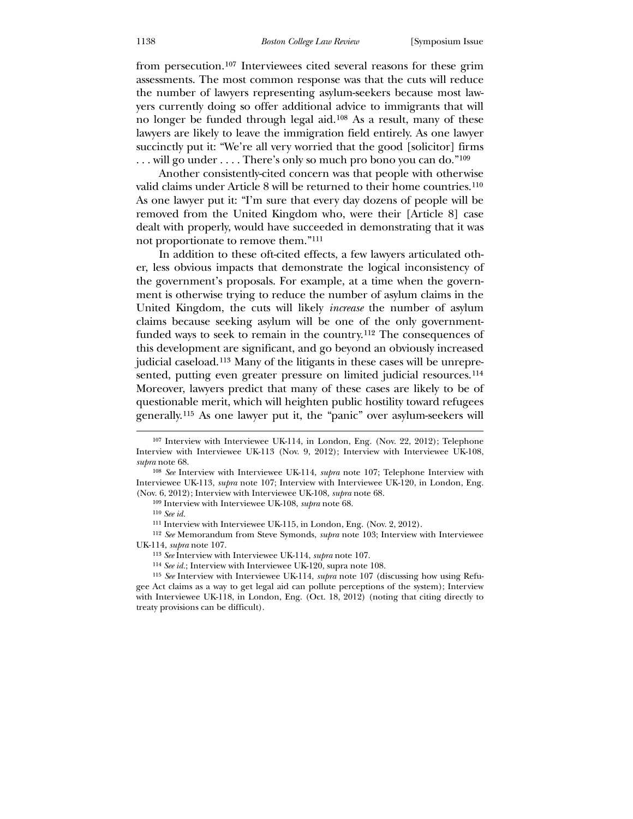from persecution.[107](#page-16-0) Interviewees cited several reasons for these grim assessments. The most common response was that the cuts will reduce the number of lawyers representing asylum-seekers because most lawyers currently doing so offer additional advice to immigrants that will no longer be funded through legal aid.[108](#page-16-1) As a result, many of these lawyers are likely to leave the immigration field entirely. As one lawyer succinctly put it: "We're all very worried that the good [solicitor] firms . . . will go under . . . . There's only so much pro bono you can do."[109](#page-16-2)

 Another consistently-cited concern was that people with otherwise valid claims under Article 8 will be returned to their home countries.[110](#page-16-3) As one lawyer put it: "I'm sure that every day dozens of people will be removed from the United Kingdom who, were their [Article 8] case dealt with properly, would have succeeded in demonstrating that it was not proportionate to remove them."[111](#page-16-4)

 In addition to these oft-cited effects, a few lawyers articulated other, less obvious impacts that demonstrate the logical inconsistency of the government's proposals. For example, at a time when the government is otherwise trying to reduce the number of asylum claims in the United Kingdom, the cuts will likely *increase* the number of asylum claims because seeking asylum will be one of the only governmentfunded ways to seek to remain in the country.[112](#page-16-5) The consequences of this development are significant, and go beyond an obviously increased judicial caseload.[113](#page-16-6) Many of the litigants in these cases will be unrepre-sented, putting even greater pressure on limited judicial resources.<sup>[114](#page-16-7)</sup> Moreover, lawyers predict that many of these cases are likely to be of questionable merit, which will heighten public hostility toward refugees generally.[115](#page-16-8) As one lawyer put it, the "panic" over asylum-seekers will

 $\overline{a}$ 

112 *See* Memorandum from Steve Symonds, *supra* note 103; Interview with Interviewee UK-114, *supra* note 107.

<sup>107</sup> Interview with Interviewee UK-114, in London, Eng. (Nov. 22, 2012); Telephone Interview with Interviewee UK-113 (Nov. 9, 2012); Interview with Interviewee UK-108, *supra* note 68.

<sup>108</sup> *See* Interview with Interviewee UK-114, *supra* note 107; Telephone Interview with Interviewee UK-113, *supra* note 107; Interview with Interviewee UK-120, in London, Eng. (Nov. 6, 2012); Interview with Interviewee UK-108, *supra* note 68.

<sup>109</sup> Interview with Interviewee UK-108, *supra* note 68.

<sup>110</sup> *See id.*

<sup>111</sup> Interview with Interviewee UK-115, in London, Eng. (Nov. 2, 2012).

<sup>113</sup> *See* Interview with Interviewee UK-114, *supra* note 107.

<sup>114</sup> *See id.*; Interview with Interviewee UK-120, supra note 108.

<span id="page-16-8"></span><span id="page-16-7"></span><span id="page-16-6"></span><span id="page-16-5"></span><span id="page-16-4"></span><span id="page-16-3"></span><span id="page-16-2"></span><span id="page-16-1"></span><span id="page-16-0"></span><sup>115</sup> *See* Interview with Interviewee UK-114, *supra* note 107 (discussing how using Refugee Act claims as a way to get legal aid can pollute perceptions of the system); Interview with Interviewee UK-118, in London, Eng. (Oct. 18, 2012) (noting that citing directly to treaty provisions can be difficult).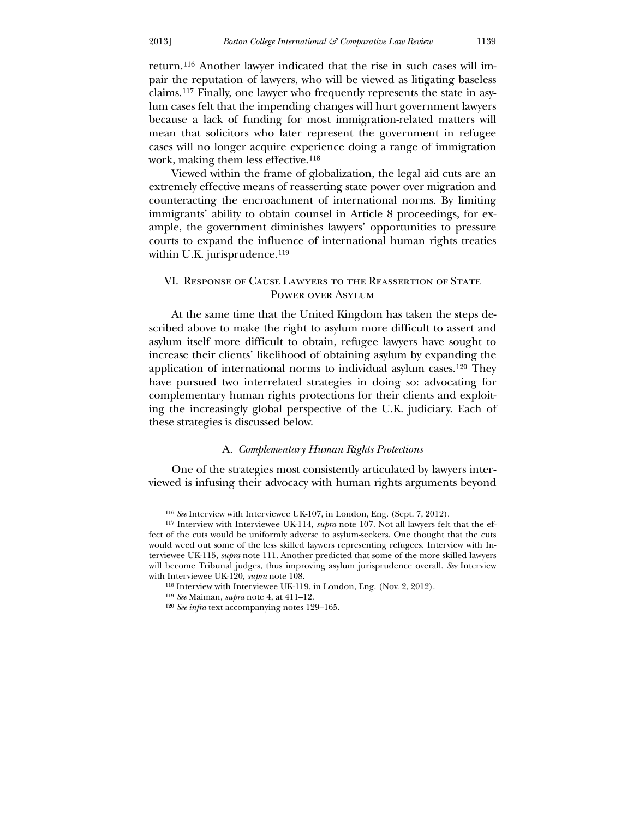-

return.[116](#page-17-0) Another lawyer indicated that the rise in such cases will impair the reputation of lawyers, who will be viewed as litigating baseless claims.[117](#page-17-1) Finally, one lawyer who frequently represents the state in asylum cases felt that the impending changes will hurt government lawyers because a lack of funding for most immigration-related matters will mean that solicitors who later represent the government in refugee cases will no longer acquire experience doing a range of immigration work, making them less effective.[118](#page-17-2)

 Viewed within the frame of globalization, the legal aid cuts are an extremely effective means of reasserting state power over migration and counteracting the encroachment of international norms. By limiting immigrants' ability to obtain counsel in Article 8 proceedings, for example, the government diminishes lawyers' opportunities to pressure courts to expand the influence of international human rights treaties within U.K. jurisprudence.<sup>[119](#page-17-3)</sup>

# VI. Response of Cause Lawyers to the Reassertion of State Power over Asylum

 At the same time that the United Kingdom has taken the steps described above to make the right to asylum more difficult to assert and asylum itself more difficult to obtain, refugee lawyers have sought to increase their clients' likelihood of obtaining asylum by expanding the application of international norms to individual asylum cases.[120](#page-17-4) They have pursued two interrelated strategies in doing so: advocating for complementary human rights protections for their clients and exploiting the increasingly global perspective of the U.K. judiciary. Each of these strategies is discussed below.

#### A. *Complementary Human Rights Protections*

 One of the strategies most consistently articulated by lawyers interviewed is infusing their advocacy with human rights arguments beyond

<sup>116</sup> *See* Interview with Interviewee UK-107, in London, Eng. (Sept. 7, 2012).

<sup>117</sup> Interview with Interviewee UK-114, *supra* note 107. Not all lawyers felt that the effect of the cuts would be uniformly adverse to asylum-seekers. One thought that the cuts would weed out some of the less skilled laywers representing refugees. Interview with Interviewee UK-115, *supra* note 111. Another predicted that some of the more skilled lawyers will become Tribunal judges, thus improving asylum jurisprudence overall. See Interview with Interviewee UK-120, *supra* note 108.

<sup>118</sup> Interview with Interviewee UK-119, in London, Eng. (Nov. 2, 2012).

<sup>119</sup> *See* Maiman, *supra* note 4, at 411–12.

<span id="page-17-4"></span><span id="page-17-3"></span><span id="page-17-2"></span><span id="page-17-1"></span><span id="page-17-0"></span><sup>120</sup> *See infra* text accompanying notes 129–165.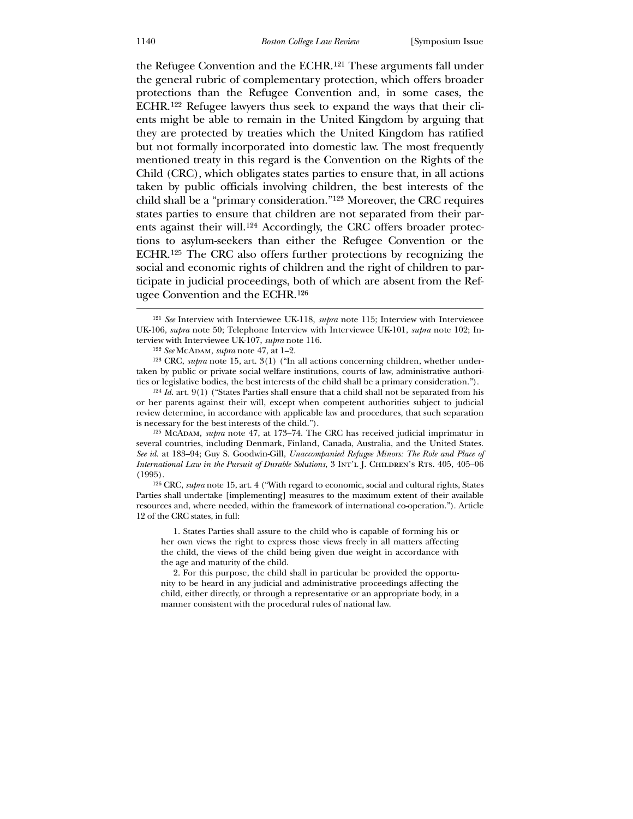the Refugee Convention and the ECHR.[121](#page-18-0) These arguments fall under the general rubric of complementary protection, which offers broader protections than the Refugee Convention and, in some cases, the ECHR.[122](#page-18-1) Refugee lawyers thus seek to expand the ways that their clients might be able to remain in the United Kingdom by arguing that they are protected by treaties which the United Kingdom has ratified but not formally incorporated into domestic law. The most frequently mentioned treaty in this regard is the Convention on the Rights of the Child (CRC), which obligates states parties to ensure that, in all actions taken by public officials involving children, the best interests of the child shall be a "primary consideration."[123](#page-18-2) Moreover, the CRC requires states parties to ensure that children are not separated from their parents against their will.[124](#page-18-3) Accordingly, the CRC offers broader protections to asylum-seekers than either the Refugee Convention or the ECHR.[125](#page-18-4) The CRC also offers further protections by recognizing the social and economic rights of children and the right of children to participate in judicial proceedings, both of which are absent from the Refugee Convention and the ECHR.[126](#page-18-5)

123 CRC, *supra* note 15, art. 3(1) ("In all actions concerning children, whether undertaken by public or private social welfare institutions, courts of law, administrative authorities or legislative bodies, the best interests of the child shall be a primary consideration.").

124 *Id.* art. 9(1) ("States Parties shall ensure that a child shall not be separated from his or her parents against their will, except when competent authorities subject to judicial review determine, in accordance with applicable law and procedures, that such separation is necessary for the best interests of the child.").

125 McAdam, *supra* note 47, at 173–74. The CRC has received judicial imprimatur in several countries, including Denmark, Finland, Canada, Australia, and the United States. *See id.* at 183–94; Guy S. Goodwin-Gill, *Unaccompanied Refugee Minors: The Role and Place of International Law in the Pursuit of Durable Solutions*, 3 INT'L J. CHILDREN'S RTS. 405-405-06 (1995).

<span id="page-18-3"></span><span id="page-18-2"></span><span id="page-18-1"></span><span id="page-18-0"></span>126 CRC, *supra* note 15, art. 4 ("With regard to economic, social and cultural rights, States Parties shall undertake [implementing] measures to the maximum extent of their available resources and, where needed, within the framework of international co-operation."). Article 12 of the CRC states, in full:

 1. States Parties shall assure to the child who is capable of forming his or her own views the right to express those views freely in all matters affecting the child, the views of the child being given due weight in accordance with the age and maturity of the child.

<span id="page-18-5"></span><span id="page-18-4"></span> 2. For this purpose, the child shall in particular be provided the opportunity to be heard in any judicial and administrative proceedings affecting the child, either directly, or through a representative or an appropriate body, in a manner consistent with the procedural rules of national law.

l

<sup>121</sup> *See* Interview with Interviewee UK-118, *supra* note 115; Interview with Interviewee UK-106, *supra* note 50; Telephone Interview with Interviewee UK-101, *supra* note 102; Interview with Interviewee UK-107, *supra* note 116.

<sup>122</sup> *See* McAdam, *supra* note 47, at 1–2.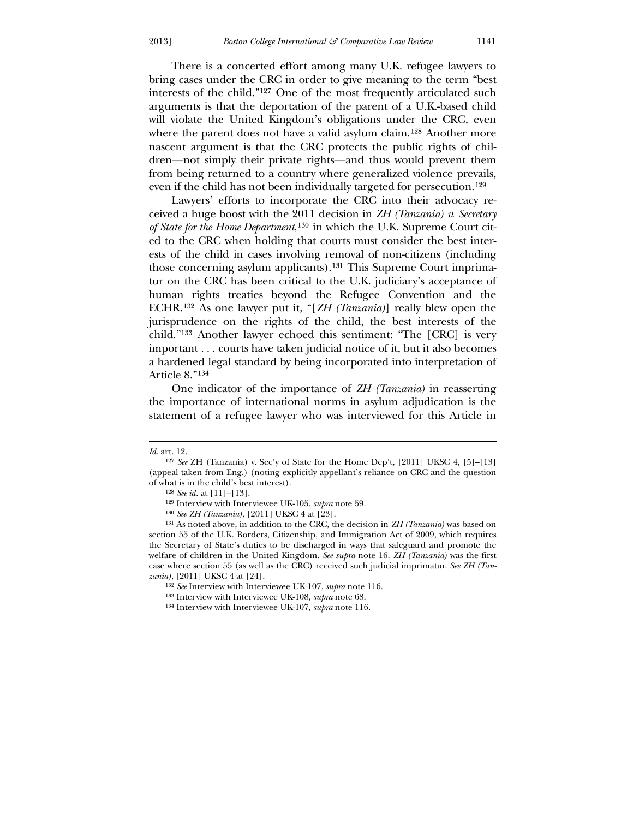There is a concerted effort among many U.K. refugee lawyers to bring cases under the CRC in order to give meaning to the term "best interests of the child."[127](#page-19-0) One of the most frequently articulated such arguments is that the deportation of the parent of a U.K.-based child will violate the United Kingdom's obligations under the CRC, even where the parent does not have a valid asylum claim.<sup>[128](#page-19-1)</sup> Another more nascent argument is that the CRC protects the public rights of children—not simply their private rights—and thus would prevent them from being returned to a country where generalized violence prevails, even if the child has not been individually targeted for persecution.[129](#page-19-2)

 Lawyers' efforts to incorporate the CRC into their advocacy received a huge boost with the 2011 decision in *ZH (Tanzania) v. Secretary of State for the Home Department*,[130](#page-19-3) in which the U.K. Supreme Court cited to the CRC when holding that courts must consider the best interests of the child in cases involving removal of non-citizens (including those concerning asylum applicants).[131](#page-19-4) This Supreme Court imprimatur on the CRC has been critical to the U.K. judiciary's acceptance of human rights treaties beyond the Refugee Convention and the ECHR.[132](#page-19-5) As one lawyer put it, "[*ZH (Tanzania)*] really blew open the jurisprudence on the rights of the child, the best interests of the child."[133](#page-19-6) Another lawyer echoed this sentiment: "The [CRC] is very important . . . courts have taken judicial notice of it, but it also becomes a hardened legal standard by being incorporated into interpretation of Article 8."[134](#page-19-7)

 One indicator of the importance of *ZH (Tanzania)* in reasserting the importance of international norms in asylum adjudication is the statement of a refugee lawyer who was interviewed for this Article in

*Id*. art. 12.

<sup>127</sup> *See* ZH (Tanzania) v. Sec'y of State for the Home Dep't, [2011] UKSC 4, [5]–[13] (appeal taken from Eng.) (noting explicitly appellant's reliance on CRC and the question of what is in the child's best interest).

<sup>128</sup> *See id.* at [11]–[13].

<sup>129</sup> Interview with Interviewee UK-105, *supra* note 59.

<sup>130</sup> *See ZH (Tanzania)*, [2011] UKSC 4 at [23].

<sup>131</sup> As noted above, in addition to the CRC, the decision in *ZH (Tanzania)* was based on section 55 of the U.K. Borders, Citizenship, and Immigration Act of 2009, which requires the Secretary of State's duties to be discharged in ways that safeguard and promote the welfare of children in the United Kingdom. *See supra* note 16. *ZH (Tanzania)* was the first case where section 55 (as well as the CRC) received such judicial imprimatur. *See ZH (Tanzania)*, [2011] UKSC 4 at [24].

<sup>132</sup> *See* Interview with Interviewee UK-107, *supra* note 116.

<sup>133</sup> Interview with Interviewee UK-108, *supra* note 68.

<span id="page-19-7"></span><span id="page-19-6"></span><span id="page-19-5"></span><span id="page-19-4"></span><span id="page-19-3"></span><span id="page-19-2"></span><span id="page-19-1"></span><span id="page-19-0"></span><sup>134</sup> Interview with Interviewee UK-107, *supra* note 116.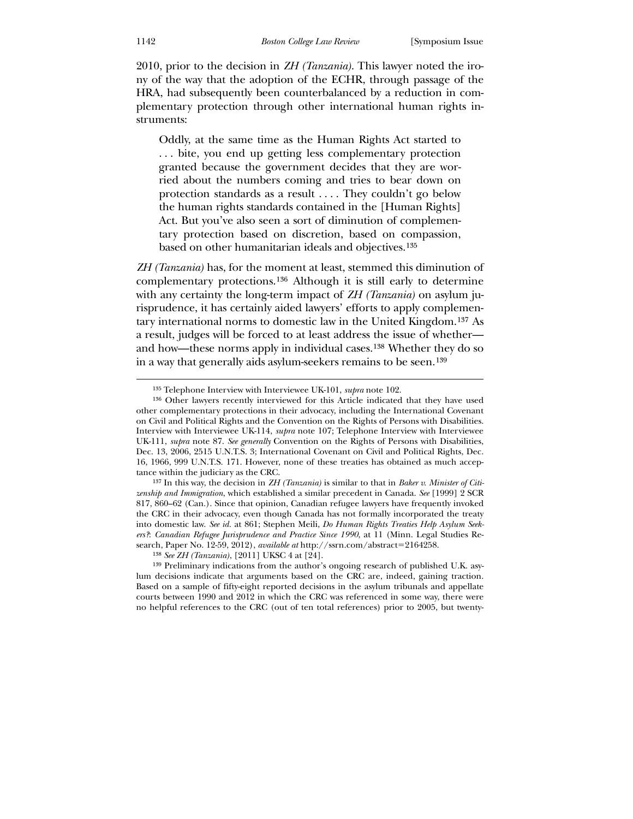2010, prior to the decision in *ZH (Tanzania)*. This lawyer noted the irony of the way that the adoption of the ECHR, through passage of the HRA, had subsequently been counterbalanced by a reduction in complementary protection through other international human rights instruments:

Oddly, at the same time as the Human Rights Act started to . . . bite, you end up getting less complementary protection granted because the government decides that they are worried about the numbers coming and tries to bear down on protection standards as a result . . . . They couldn't go below the human rights standards contained in the [Human Rights] Act. But you've also seen a sort of diminution of complementary protection based on discretion, based on compassion, based on other humanitarian ideals and objectives.[135](#page-20-0)

*ZH (Tanzania)* has, for the moment at least, stemmed this diminution of complementary protections.[136](#page-20-1) Although it is still early to determine with any certainty the long-term impact of *ZH (Tanzania)* on asylum jurisprudence, it has certainly aided lawyers' efforts to apply complementary international norms to domestic law in the United Kingdom.[137](#page-20-2) As a result, judges will be forced to at least address the issue of whether and how—these norms apply in individual cases.[138](#page-20-3) Whether they do so in a way that generally aids asylum-seekers remains to be seen.[139](#page-20-4)

<sup>135</sup> Telephone Interview with Interviewee UK-101, *supra* note 102.

<sup>136</sup> Other lawyers recently interviewed for this Article indicated that they have used other complementary protections in their advocacy, including the International Covenant on Civil and Political Rights and the Convention on the Rights of Persons with Disabilities. Interview with Interviewee UK-114, *supra* note 107; Telephone Interview with Interviewee UK-111, *supra* note 87. *See generally* Convention on the Rights of Persons with Disabilities, Dec. 13, 2006, 2515 U.N.T.S. 3; International Covenant on Civil and Political Rights, Dec. 16, 1966, 999 U.N.T.S. 171. However, none of these treaties has obtained as much acceptance within the judiciary as the CRC.

<sup>137</sup> In this way, the decision in *ZH (Tanzania)* is similar to that in *Baker v. Minister of Citizenship and Immigration*, which established a similar precedent in Canada. *See* [1999] 2 SCR 817, 860–62 (Can.). Since that opinion, Canadian refugee lawyers have frequently invoked the CRC in their advocacy, even though Canada has not formally incorporated the treaty into domestic law. *See id.* at 861; Stephen Meili, *Do Human Rights Treaties Help Asylum Seekers?*: *Canadian Refugee Jurisprudence and Practice Since 1990*, at 11 (Minn. Legal Studies Research, Paper No. 12-59, 2012), *available at* http://ssrn.com/abstract=2164258.

<sup>138</sup> *See ZH (Tanzania)*, [2011] UKSC 4 at [24].

<span id="page-20-4"></span><span id="page-20-3"></span><span id="page-20-2"></span><span id="page-20-1"></span><span id="page-20-0"></span><sup>139</sup> Preliminary indications from the author's ongoing research of published U.K. asylum decisions indicate that arguments based on the CRC are, indeed, gaining traction. Based on a sample of fifty-eight reported decisions in the asylum tribunals and appellate courts between 1990 and 2012 in which the CRC was referenced in some way, there were no helpful references to the CRC (out of ten total references) prior to 2005, but twenty-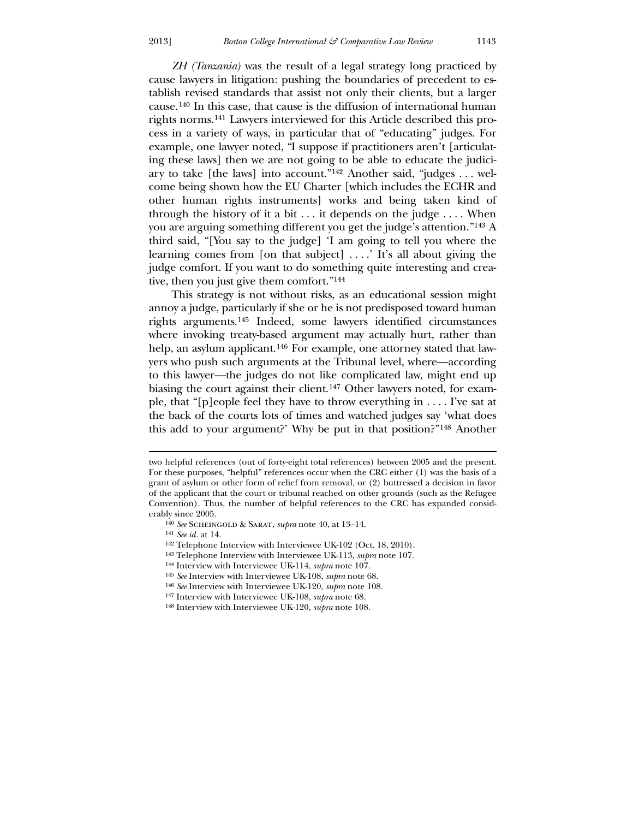*ZH (Tanzania)* was the result of a legal strategy long practiced by cause lawyers in litigation: pushing the boundaries of precedent to establish revised standards that assist not only their clients, but a larger cause.[140](#page-21-0) In this case, that cause is the diffusion of international human rights norms.[141](#page-21-1) Lawyers interviewed for this Article described this process in a variety of ways, in particular that of "educating" judges. For example, one lawyer noted, "I suppose if practitioners aren't [articulating these laws] then we are not going to be able to educate the judiciary to take [the laws] into account."[142](#page-21-2) Another said, "judges . . . welcome being shown how the EU Charter [which includes the ECHR and other human rights instruments] works and being taken kind of through the history of it a bit  $\dots$  it depends on the judge  $\dots$ . When you are arguing something different you get the judge's attention."[143](#page-21-3) A third said, "[You say to the judge] 'I am going to tell you where the learning comes from [on that subject] . . . .' It's all about giving the

tive, then you just give them comfort."[144](#page-21-4) This strategy is not without risks, as an educational session might annoy a judge, particularly if she or he is not predisposed toward human rights arguments.[145](#page-21-5) Indeed, some lawyers identified circumstances where invoking treaty-based argument may actually hurt, rather than help, an asylum applicant.<sup>[146](#page-21-6)</sup> For example, one attorney stated that lawyers who push such arguments at the Tribunal level, where—according to this lawyer—the judges do not like complicated law, might end up biasing the court against their client.[147](#page-21-7) Other lawyers noted, for example, that "[p]eople feel they have to throw everything in . . . . I've sat at the back of the courts lots of times and watched judges say 'what does this add to your argument?' Why be put in that position?"[148](#page-21-8) Another

judge comfort. If you want to do something quite interesting and crea-

141 *See id.* at 14.

<u>.</u>

146 *See* Interview with Interviewee UK-120, *supra* note 108.

two helpful references (out of forty-eight total references) between 2005 and the present. For these purposes, "helpful" references occur when the CRC either (1) was the basis of a grant of asylum or other form of relief from removal, or (2) buttressed a decision in favor of the applicant that the court or tribunal reached on other grounds (such as the Refugee Convention). Thus, the number of helpful references to the CRC has expanded considerably since 2005.

<sup>140</sup> *See* Scheingold & Sarat, *supra* note 40, at 13–14.

<sup>142</sup> Telephone Interview with Interviewee UK-102 (Oct. 18, 2010).

<sup>143</sup> Telephone Interview with Interviewee UK-113, *supra* note 107.

<sup>144</sup> Interview with Interviewee UK-114, *supra* note 107.

<sup>145</sup> *See* Interview with Interviewee UK-108, *supra* note 68.

<sup>147</sup> Interview with Interviewee UK-108, *supra* note 68.

<span id="page-21-8"></span><span id="page-21-7"></span><span id="page-21-6"></span><span id="page-21-5"></span><span id="page-21-4"></span><span id="page-21-3"></span><span id="page-21-2"></span><span id="page-21-1"></span><span id="page-21-0"></span><sup>148</sup> Interview with Interviewee UK-120, *supra* note 108.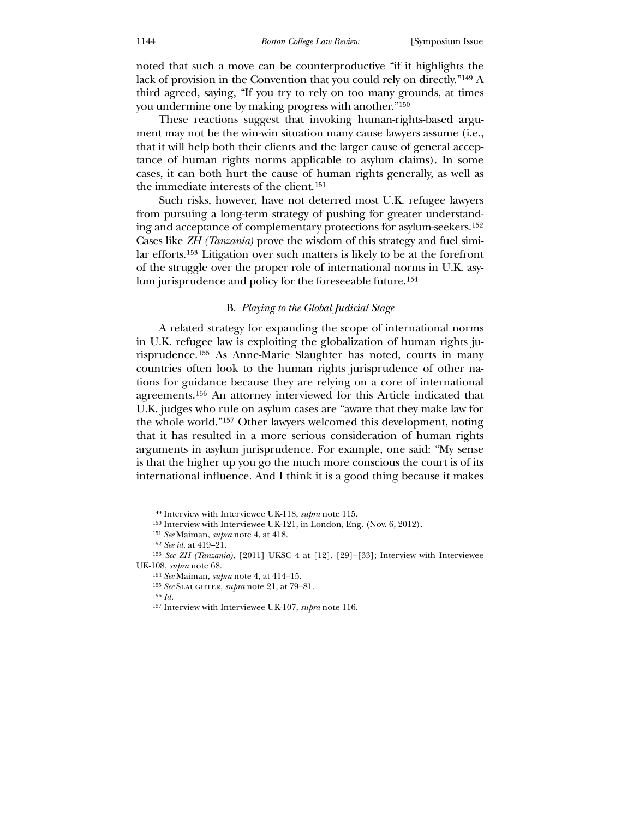noted that such a move can be counterproductive "if it highlights the lack of provision in the Convention that you could rely on directly."[149](#page-22-0) A third agreed, saying, "If you try to rely on too many grounds, at times you undermine one by making progress with another."[150](#page-22-1)

 These reactions suggest that invoking human-rights-based argument may not be the win-win situation many cause lawyers assume (i.e., that it will help both their clients and the larger cause of general acceptance of human rights norms applicable to asylum claims). In some cases, it can both hurt the cause of human rights generally, as well as the immediate interests of the client.[151](#page-22-2)

 Such risks, however, have not deterred most U.K. refugee lawyers from pursuing a long-term strategy of pushing for greater understanding and acceptance of complementary protections for asylum-seekers.[152](#page-22-3) Cases like *ZH (Tanzania)* prove the wisdom of this strategy and fuel similar efforts.[153](#page-22-4) Litigation over such matters is likely to be at the forefront of the struggle over the proper role of international norms in U.K. asylum jurisprudence and policy for the foreseeable future.[154](#page-22-5)

#### B. *Playing to the Global Judicial Stage*

 A related strategy for expanding the scope of international norms in U.K. refugee law is exploiting the globalization of human rights jurisprudence.[155](#page-22-6) As Anne-Marie Slaughter has noted, courts in many countries often look to the human rights jurisprudence of other nations for guidance because they are relying on a core of international agreements.[156](#page-22-7) An attorney interviewed for this Article indicated that U.K. judges who rule on asylum cases are "aware that they make law for the whole world."[157](#page-22-8) Other lawyers welcomed this development, noting that it has resulted in a more serious consideration of human rights arguments in asylum jurisprudence. For example, one said: "My sense is that the higher up you go the much more conscious the court is of its international influence. And I think it is a good thing because it makes

156 *Id.*

<sup>149</sup> Interview with Interviewee UK-118, *supra* note 115.

<sup>150</sup> Interview with Interviewee UK-121, in London, Eng. (Nov. 6, 2012).

<sup>151</sup> *See* Maiman, *supra* note 4, at 418.

<sup>152</sup> *See id.* at 419–21.

<sup>153</sup> *See ZH (Tanzania)*, [2011] UKSC 4 at [12], [29]–[33]; Interview with Interviewee UK-108, *supra* note 68.

<sup>154</sup> *See* Maiman, *supra* note 4, at 414–15.

<sup>155</sup> *See* Slaughter, *supra* note 21, at 79–81.

<span id="page-22-8"></span><span id="page-22-7"></span><span id="page-22-6"></span><span id="page-22-5"></span><span id="page-22-4"></span><span id="page-22-3"></span><span id="page-22-2"></span><span id="page-22-1"></span><span id="page-22-0"></span><sup>157</sup> Interview with Interviewee UK-107, *supra* note 116.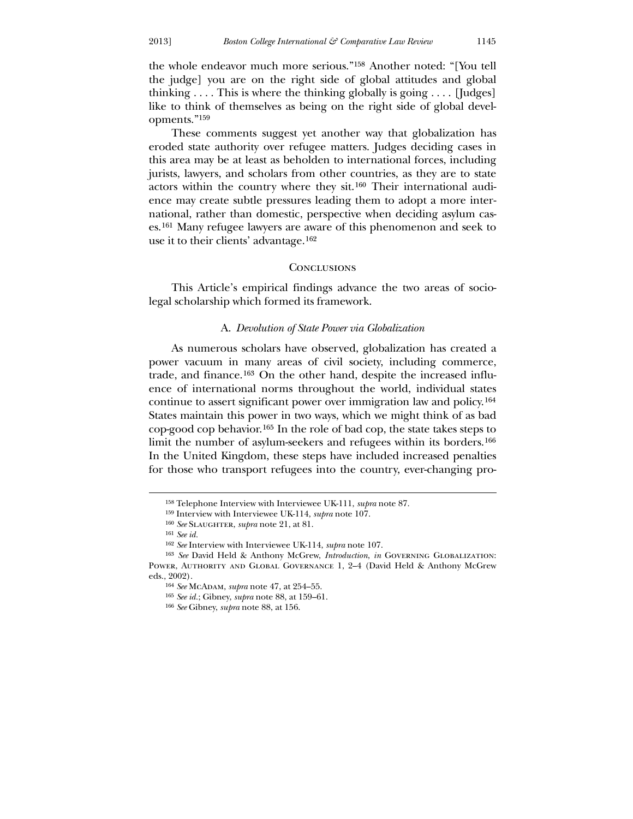the whole endeavor much more serious."[158](#page-23-0) Another noted: "[You tell the judge] you are on the right side of global attitudes and global thinking  $\ldots$ . This is where the thinking globally is going  $\ldots$  [Judges] like to think of themselves as being on the right side of global developments."[159](#page-23-1)

 These comments suggest yet another way that globalization has eroded state authority over refugee matters. Judges deciding cases in this area may be at least as beholden to international forces, including jurists, lawyers, and scholars from other countries, as they are to state actors within the country where they sit.[160](#page-23-2) Their international audience may create subtle pressures leading them to adopt a more international, rather than domestic, perspective when deciding asylum cases.[161](#page-23-3) Many refugee lawyers are aware of this phenomenon and seek to use it to their clients' advantage.[162](#page-23-4)

#### **CONCLUSIONS**

This Article's empirical findings advance the two areas of sociolegal scholarship which formed its framework.

#### A. *Devolution of State Power via Globalization*

 As numerous scholars have observed, globalization has created a power vacuum in many areas of civil society, including commerce, trade, and finance.[163](#page-23-5) On the other hand, despite the increased influence of international norms throughout the world, individual states continue to assert significant power over immigration law and policy.[164](#page-23-6) States maintain this power in two ways, which we might think of as bad cop-good cop behavior.[165](#page-23-7) In the role of bad cop, the state takes steps to limit the number of asylum-seekers and refugees within its borders.[166](#page-23-8) In the United Kingdom, these steps have included increased penalties for those who transport refugees into the country, ever-changing pro-

<u>.</u>

<sup>158</sup> Telephone Interview with Interviewee UK-111, *supra* note 87.

<sup>159</sup> Interview with Interviewee UK-114, *supra* note 107.

<sup>160</sup> *See* Slaughter, *supra* note 21, at 81.

<sup>161</sup> *See id.*

<sup>162</sup> *See* Interview with Interviewee UK-114, *supra* note 107.

<sup>163</sup> *See* David Held & Anthony McGrew, *Introduction*, *in* Governing Globalization: Power, Authority and Global Governance 1, 2–4 (David Held & Anthony McGrew eds., 2002).

<sup>164</sup> *See* McAdam, *supra* note 47, at 254–55.

<sup>165</sup> *See id.*; Gibney, *supra* note 88, at 159–61.

<span id="page-23-8"></span><span id="page-23-7"></span><span id="page-23-6"></span><span id="page-23-5"></span><span id="page-23-4"></span><span id="page-23-3"></span><span id="page-23-2"></span><span id="page-23-1"></span><span id="page-23-0"></span><sup>166</sup> *See* Gibney, *supra* note 88, at 156.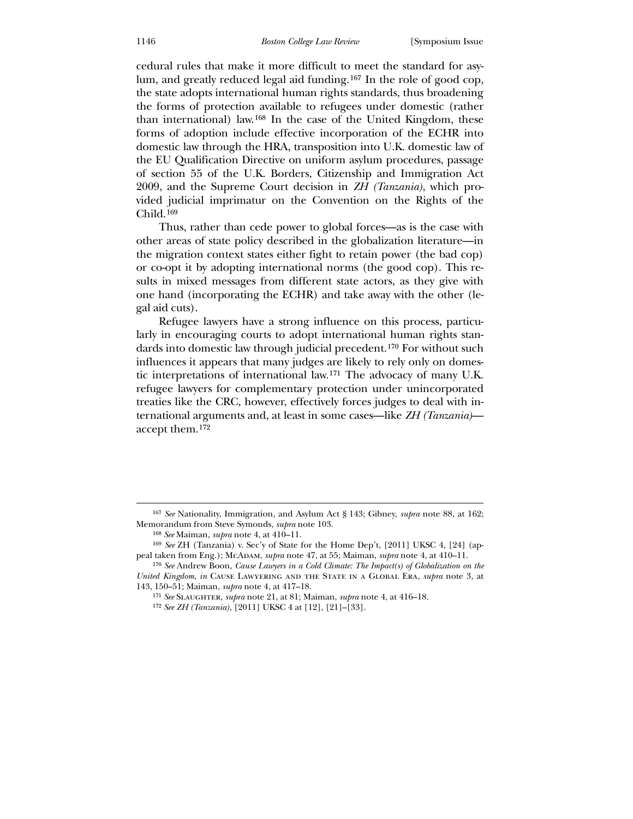cedural rules that make it more difficult to meet the standard for asylum, and greatly reduced legal aid funding.[167](#page-24-0) In the role of good cop, the state adopts international human rights standards, thus broadening the forms of protection available to refugees under domestic (rather than international) law.[168](#page-24-1) In the case of the United Kingdom, these forms of adoption include effective incorporation of the ECHR into domestic law through the HRA, transposition into U.K. domestic law of the EU Qualification Directive on uniform asylum procedures, passage of section 55 of the U.K. Borders, Citizenship and Immigration Act 2009, and the Supreme Court decision in *ZH (Tanzania)*, which provided judicial imprimatur on the Convention on the Rights of the Child.[169](#page-24-2)

 Thus, rather than cede power to global forces—as is the case with other areas of state policy described in the globalization literature—in the migration context states either fight to retain power (the bad cop) or co-opt it by adopting international norms (the good cop). This results in mixed messages from different state actors, as they give with one hand (incorporating the ECHR) and take away with the other (legal aid cuts).

 Refugee lawyers have a strong influence on this process, particularly in encouraging courts to adopt international human rights standards into domestic law through judicial precedent.[170](#page-24-3) For without such influences it appears that many judges are likely to rely only on domestic interpretations of international law.[171](#page-24-4) The advocacy of many U.K. refugee lawyers for complementary protection under unincorporated treaties like the CRC, however, effectively forces judges to deal with international arguments and, at least in some cases—like *ZH (Tanzania)* accept them.[172](#page-24-5)

<sup>167</sup> *See* Nationality, Immigration, and Asylum Act § 143; Gibney, *supra* note 88, at 162; Memorandum from Steve Symonds, *supra* note 103.

<sup>168</sup> *See* Maiman, *supra* note 4, at 410–11.

<sup>169</sup> *See* ZH (Tanzania) v. Sec'y of State for the Home Dep't, [2011] UKSC 4, [24] (appeal taken from Eng.); McADAM, *supra* note 47, at 55; Maiman, *supra* note 4, at 410-11.

<sup>170</sup> *See* Andrew Boon, *Cause Lawyers in a Cold Climate: The Impact(s) of Globalization on the United Kingdom*, *in* Cause Lawyering and the State in a Global Era, *supra* note 3, at 143, 150–51; Maiman, *supra* note 4, at 417–18.

<sup>171</sup> *See* Slaughter, *supra* note 21, at 81; Maiman, *supra* note 4, at 416–18.

<span id="page-24-5"></span><span id="page-24-4"></span><span id="page-24-3"></span><span id="page-24-2"></span><span id="page-24-1"></span><span id="page-24-0"></span><sup>172</sup> *See ZH (Tanzania)*, [2011] UKSC 4 at [12], [21]–[33].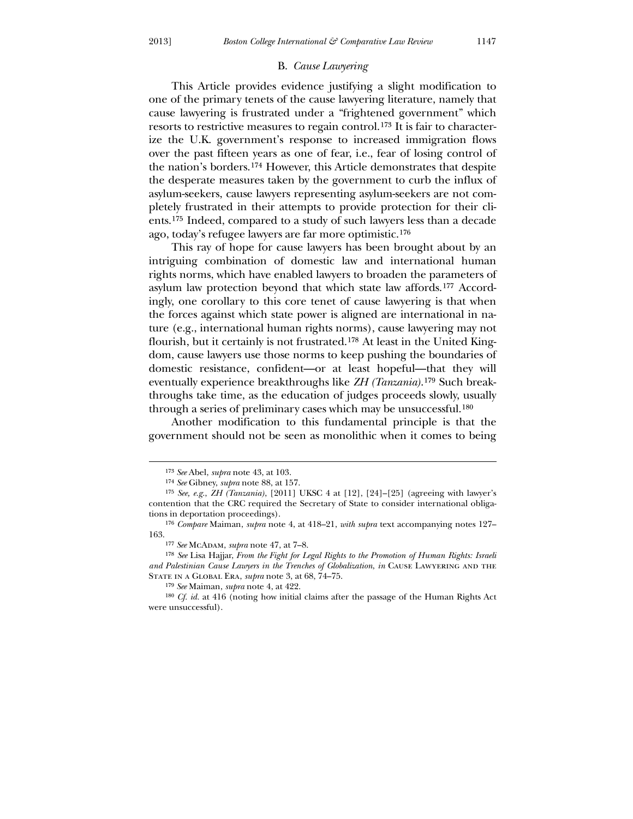#### B. *Cause Lawyering*

 This Article provides evidence justifying a slight modification to one of the primary tenets of the cause lawyering literature, namely that cause lawyering is frustrated under a "frightened government" which resorts to restrictive measures to regain control.[173](#page-25-0) It is fair to characterize the U.K. government's response to increased immigration flows over the past fifteen years as one of fear, i.e., fear of losing control of the nation's borders.[174](#page-25-1) However, this Article demonstrates that despite the desperate measures taken by the government to curb the influx of asylum-seekers, cause lawyers representing asylum-seekers are not completely frustrated in their attempts to provide protection for their clients.[175](#page-25-2) Indeed, compared to a study of such lawyers less than a decade ago, today's refugee lawyers are far more optimistic.[176](#page-25-3)

 This ray of hope for cause lawyers has been brought about by an intriguing combination of domestic law and international human rights norms, which have enabled lawyers to broaden the parameters of asylum law protection beyond that which state law affords.[177](#page-25-4) Accordingly, one corollary to this core tenet of cause lawyering is that when the forces against which state power is aligned are international in nature (e.g., international human rights norms), cause lawyering may not flourish, but it certainly is not frustrated.[178](#page-25-5) At least in the United Kingdom, cause lawyers use those norms to keep pushing the boundaries of domestic resistance, confident—or at least hopeful—that they will eventually experience breakthroughs like *ZH (Tanzania)*.[179](#page-25-6) Such breakthroughs take time, as the education of judges proceeds slowly, usually through a series of preliminary cases which may be unsuccessful.[180](#page-25-7)

 Another modification to this fundamental principle is that the government should not be seen as monolithic when it comes to being

<u>.</u>

<sup>173</sup> *See* Abel, *supra* note 43, at 103.

<sup>174</sup> *See* Gibney, *supra* note 88, at 157.

<sup>175</sup> *See, e.g.*, *ZH (Tanzania)*, [2011] UKSC 4 at [12], [24]–[25] (agreeing with lawyer's contention that the CRC required the Secretary of State to consider international obligations in deportation proceedings).

<sup>176</sup> *Compare* Maiman, *supra* note 4, at 418–21, *with supra* text accompanying notes 127– 163.

<sup>177</sup> *See* McAdam, *supra* note 47, at 7–8.

<sup>178</sup> *See* Lisa Hajjar, *From the Fight for Legal Rights to the Promotion of Human Rights: Israeli and Palestinian Cause Lawyers in the Trenches of Globalization, in CAUSE LAWYERING AND THE* State in a Global Era, *supra* note 3, at 68, 74–75.

<sup>179</sup> *See* Maiman, *supra* note 4, at 422.

<span id="page-25-7"></span><span id="page-25-6"></span><span id="page-25-5"></span><span id="page-25-4"></span><span id="page-25-3"></span><span id="page-25-2"></span><span id="page-25-1"></span><span id="page-25-0"></span><sup>180</sup> *Cf. id.* at 416 (noting how initial claims after the passage of the Human Rights Act were unsuccessful).